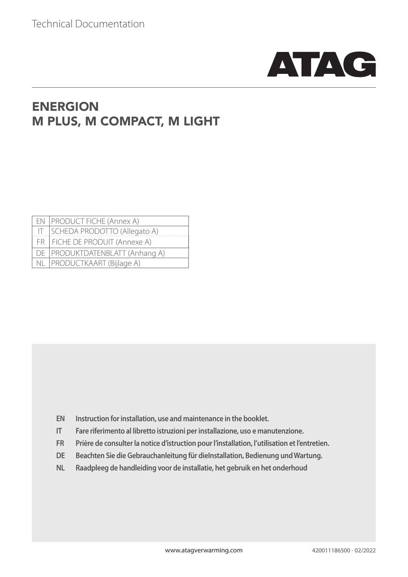

## ENERGION M PLUS, M COMPACT, M LIGHT

| EN   PRODUCT FICHE (Annex A)      |
|-----------------------------------|
| IT SCHEDA PRODOTTO (Allegato A)   |
| FR   FICHE DE PRODUIT (Annexe A)  |
| DE   PRODUKTDATENBLATT (Anhang A) |
| NL   PRODUCTKAART (Bijlage A)     |

- **EN Instruction for installation, use and maintenance in the booklet.**
- **IT Fare riferimento al libretto istruzioni per installazione, uso e manutenzione.**
- **FR Prière de consulter la notice d'istruction pour l'installation, l'utilisation et l'entretien.**
- **DE Beachten Sie die Gebrauchanleitung für dieInstallation, Bedienung und Wartung.**
- **NL Raadpleeg de handleiding voor de installatie, het gebruik en het onderhoud**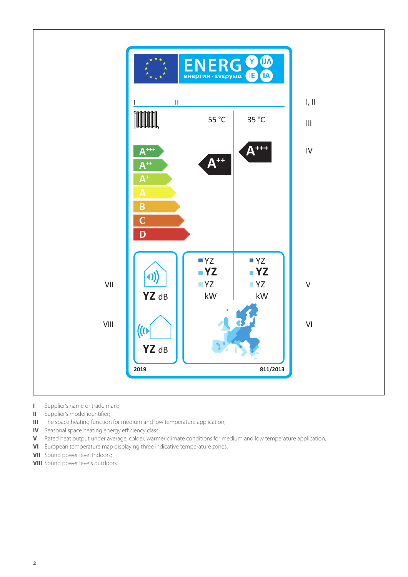

- **I** Supplier's name or trade mark;
- **II** Supplier's model identifier;
- **III** The space heating function for medium and low temperature application;
- **IV** Seasonal space heating energy efficiency class;
- **V** Rated heat output under average, colder, warmer climate conditions for medium and low temperature application;
- **VI** European temperature map displaying three indicative temperature zones;
- **VII** Sound power level Indoors;
- **VIII** Sound power levels outdoors.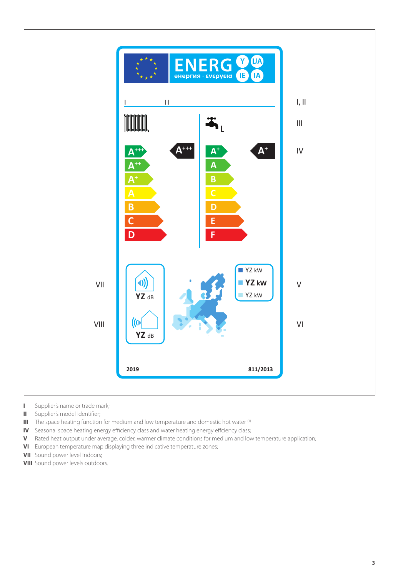

- **I** Supplier's name or trade mark;
- **II** Supplier's model identifier;
- **III** The space heating function for medium and low temperature and domestic hot water <sup>(1)</sup>
- **IV** Seasonal space heating energy efficiency class and water heating energy effciency class;
- **V** Rated heat output under average, colder, warmer climate conditions for medium and low temperature application;
- **VI** European temperature map displaying three indicative temperature zones;
- **VII** Sound power level Indoors;
- **VIII** Sound power levels outdoors.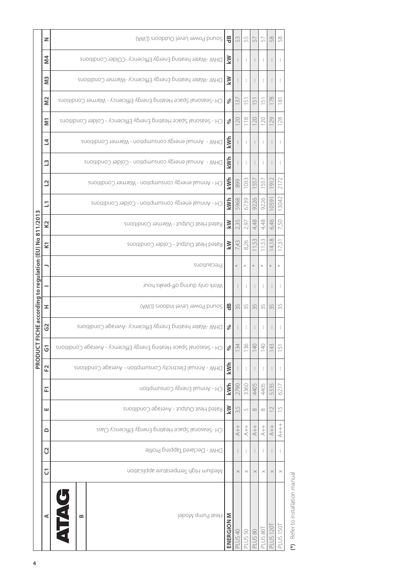|                                              | z                       | 뜽<br>(AWJ) enobtuO level cutdoors (LWA)<br>53<br>58<br>58<br>55<br>57<br>57 |            |                    |                               |                |              |                  |                             |  |  |  |  |
|----------------------------------------------|-------------------------|-----------------------------------------------------------------------------|------------|--------------------|-------------------------------|----------------|--------------|------------------|-----------------------------|--|--|--|--|
|                                              | <b>M4</b>               | DHW-Water heating Energy Efficiency -COlder Conditions                      | <b>NY</b>  |                    |                               |                | J.           |                  |                             |  |  |  |  |
|                                              | $\overline{M}$          | DHW-Water heating Energy Efficiency-Warmer Conditions                       | KW         |                    | ł                             |                | ÷            |                  |                             |  |  |  |  |
|                                              | N <sub>2</sub>          | CH -Seasonal Space Heating Energy Efficiency - Warmer Conditions            | ℅          | $\overline{3}$     | $\mathop{\cup}\limits_{\sim}$ | $\cup$         | $\cup$       | 178              | $\frac{1}{10}$              |  |  |  |  |
|                                              | Ξ                       | CH - Seasonal Space Heating Energy Efficiency - Colder Conditions           | $\%$       | 120                | 118                           | $\overline{C}$ | 120          | 129              | 128                         |  |  |  |  |
|                                              | 2                       | DHW - Annual energy consumption - Warmer Conditions                         | kWh        |                    |                               |                |              |                  |                             |  |  |  |  |
|                                              | $\mathbf{u}$            | DHW - Annual energy consumption - Colder Conditions                         | kWh        |                    |                               |                | $\mathbf{1}$ |                  |                             |  |  |  |  |
|                                              | $\overline{\mathbf{C}}$ | CH - Annual energy consumption - Warmer Conditions                          | kWh        | 899                | 1033                          | 557            | 557          | $\overline{9}$   | 2172                        |  |  |  |  |
| m                                            | E                       | CH - Annual energy consumption - Colder Conditions                          | kWh        | 5968               | 6739                          | 9226           | 9226         | 059              | 13042                       |  |  |  |  |
|                                              | K <sub>2</sub>          | Rated Heat Output - Warmer Conditions                                       | KW         | 2,35               | 2,97                          | 4,48           | 4,48         | 6,46             | 7,50                        |  |  |  |  |
| ICHE according to regulation (EU) No 811/201 | <b>Z</b>                | Rated Heat Output - Colder Conditions                                       | KW         | 7,43               | 8,26                          | 55             | 11,53        | $\infty$<br>4,   | 173                         |  |  |  |  |
|                                              |                         | Precautions                                                                 |            | $*$                |                               |                |              | $*$              |                             |  |  |  |  |
|                                              |                         | Work only during off-peaks hour                                             |            |                    |                               |                |              |                  |                             |  |  |  |  |
|                                              | I                       | (AWJ) enobri level Indoors (LWA)                                            | 뜽          | 35                 | 35                            | 35             | 35           | 35               | 35                          |  |  |  |  |
|                                              | ပ္ပ                     | DHW-Water heating Energy Efficiency -Average Conditions                     | ℅          |                    |                               |                |              |                  |                             |  |  |  |  |
| PRODUCT FI                                   | <u>ნ</u>                | CH - Seasonal Space Heating Energy Efficiency - Average Conditions          | $\%$       | 134                | 136                           | $\frac{40}{2}$ | 140          | 143              | 151                         |  |  |  |  |
|                                              | F <sub>2</sub>          | DHW - Annual Electricity Consumption - Average Conditions                   | kWh        |                    |                               |                | $\mathbf{1}$ |                  |                             |  |  |  |  |
|                                              | 됴                       | CH - Annual Energy Consumption                                              | kWh        | 2790               | 3360                          | 4405           | 4405         | 5335             | 6217                        |  |  |  |  |
|                                              | ш                       | Rated Heat Output - Average Conditions                                      | KW         | 3,5                | 5                             | $\infty$       | $\infty$     | $\supseteq$      | $\overline{\mathord{\cup}}$ |  |  |  |  |
|                                              | ≏                       | CH-Seasonal Space Heating Energy Efficiency Class                           |            | $^{++}_+$          | $+ +$                         | $+ +$          | $+$          | $+$              | $^{++}_{++}$                |  |  |  |  |
|                                              | C                       | DHW - Declared Tapping Profile                                              |            |                    |                               |                |              |                  |                             |  |  |  |  |
|                                              | $\overline{C}$          | Medium High Temperature application                                         |            | $\times$           | $\times$                      | $\times$       | $\times$     | $\times$         | $\times$                    |  |  |  |  |
|                                              | ⋖                       | É<br>Heat Pump Model<br>≃                                                   | ENERGION M | PLUS <sub>40</sub> | PLUS 50                       | PLUS 80        | PLUS 80T     | <b>PLUS 1201</b> | PLUS 150                    |  |  |  |  |
|                                              |                         |                                                                             |            |                    |                               |                |              |                  |                             |  |  |  |  |

(\*) Refer to installation manual **(\*)** Refer to installation manual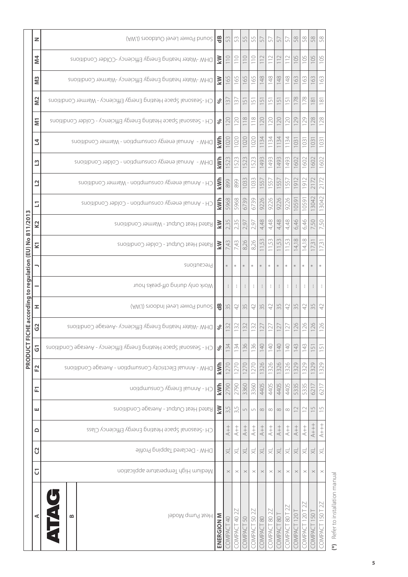|                                          | z                 | (AWJ) enobtuO level OwaS (LWA)                                     | $\frac{16}{5}$ | 53                  | 53            | 55                            | 55                  | 57                       | 5                        | 5                       | 57                       | 58                       | 58                          | 58                                          | 58                         |
|------------------------------------------|-------------------|--------------------------------------------------------------------|----------------|---------------------|---------------|-------------------------------|---------------------|--------------------------|--------------------------|-------------------------|--------------------------|--------------------------|-----------------------------|---------------------------------------------|----------------------------|
|                                          | 4<br>Ź            | DHW-Water heating Energy Efficiency -COlder Conditions             | ₹              | $\frac{1}{10}$      | 110           | 110                           | 110                 | $\sim$                   | 112                      | $\supseteq$             | 112                      | 105                      | 105                         | 105                                         | 105                        |
|                                          | m<br>Σ            | DHW-Water heating Energy Efficiency -Warmer Conditions             | ΚW             | 165                 | 165           | 165                           | 165                 | 148                      | 148                      | 148                     | 148                      | 163                      | 163                         | 163                                         | 163                        |
|                                          | $\frac{2}{2}$     | CH-Seasonal Space Heating Energy Efficiency - Warmer Conditions    | $\%$           | $\sim$              | $\frac{1}{2}$ | $\overline{5}$                | $\cup$              | $\overline{\mathcal{L}}$ | $\overline{\mathcal{L}}$ | $\Box$                  | $\frac{1}{2}$            | 178                      | 178                         | $\infty$                                    | $\frac{8}{10}$             |
|                                          | <b>IN</b>         | CH - Seasonal Space Heating Energy Efficiency - Colder Conditions  | $\%$           | 120                 | 120           | 118                           | $\approx$           | 20                       | 120                      | $\overline{C}$          | 120                      | 129                      | 129                         | 128                                         | 128                        |
|                                          | 4                 | DHW - Annual energy consumption - Warmer Conditions                | kWh            | 1020                | 1020          | 1020                          | 020                 | 34                       | 34                       | 34                      | 1134                     | 103                      | 103                         | 103                                         | 103                        |
|                                          | m                 | DHW - Annual energy consumption - Colder Conditions                | kWh            | 1523                | 523           | 523                           | 523                 | 493                      | 1493                     | 493                     | 1493                     | 1602                     | 1602                        | 1602                                        | 1602                       |
|                                          | $\mathbf{\Omega}$ | CH - Annual energy consumption - Warmer Conditions                 | kWh            | 899                 | 899           | 033                           | 033                 | 557                      | 55                       | 55                      | 557                      | $\overline{\mathcal{O}}$ | $\overline{6}$              | $\overline{\phantom{0}}$<br>$\overline{21}$ | 2172                       |
|                                          | ΣÎ,               | CH - Annual energy consumption - Colder Conditions                 | kWh            | 5968                | 5968          | 6739                          | 6739                | 9226                     | 9226                     | 9226                    | 9226                     | 10591                    | 10591                       | 3042                                        | 13042                      |
|                                          | 2                 | Rated Heat Output - Warmer Conditions                              | ΚW             | 2,35                | 2,35          | 97<br>$\sim$                  | 2,97                | 4,48                     | 4,48                     | 4,48                    | 4,48                     | 6,46                     | 6,46                        | 50                                          | 50<br>$\sim$               |
| according to regulation (EU) No 811/2013 | ⊻                 | Rated Heat Output - Colder Conditions                              | KW             | 7,43                | 7,43          | 8,26                          | 26<br>$\infty$      | 53                       | Lŋ                       | ŗ.,                     | 1,53                     | $\infty$<br>41           | $\approx$<br>$\overline{4}$ | 3<br>17.                                    | $\overline{\Omega}$<br>17, |
|                                          |                   | Precautions                                                        |                | $\ast$              | $\ast$        | $\ast$                        | $\ast$              | $\ast$                   | $\ast$                   |                         |                          |                          |                             | $\ast$                                      | $\ast$                     |
|                                          |                   | Work only during off-peaks hour                                    |                |                     |               |                               |                     |                          |                          |                         |                          |                          |                             |                                             |                            |
|                                          | ェ                 | (AWJ) enobril level mdoors (LWA)                                   | 읭              | 35                  | 42            | 35                            | 42                  | 35                       | 42                       | 35                      | 42                       | 35                       | 42                          | 35                                          | 42                         |
| CHE <sup>1</sup>                         | 3                 | DHW-Water heating Energy Efficiency -Average Conditions            | ℅              | 132                 | $\approx$     | 32                            | 32                  | $\overline{\sim}$        | $\sim$                   | $\sim$                  | 127                      | 126                      | 126                         | 26                                          | 126                        |
| <b>PRODUCT FI</b>                        | Ū                 | CH - Seasonal Space Heating Energy Efficiency - Average Conditions | $\%$           | 134                 | 134           | 36                            | 96                  | $\overline{40}$          | 140                      | 140                     | 140                      | 143                      | 143                         | 5                                           | 151                        |
|                                          | 52                | DHW - Annual Electricity Consumption - Average Conditions          | kWh            | 1270                | 1270          | 1270                          | 1270                | 326                      | 326                      | 326                     | 1326                     | 1329                     | 1329                        | 1329                                        | 1329                       |
|                                          | 됴                 | CH - Annual Energy Consumption                                     | kWh            | 2790                | 2790          | 3360                          | 3360                | 4405                     | 4405                     | 4405                    | 4405                     | 5335                     | 5335                        | 6217                                        | 6217                       |
|                                          | ш                 | Rated Heat Output - Average Conditions                             | KW             | 3,5                 | 3,5           | $\mathop{\cup}\limits_{\sim}$ | $\cup$              | $\infty$                 | $\infty$                 | $\infty$                | $\infty$                 | $\supseteq$              | $\supseteq$                 | $\frac{5}{1}$                               | $\frac{\Gamma}{\Gamma}$    |
|                                          | ≏                 | CH-Seasonal Space Heating Energy Efficiency Class                  |                | $+ +$               | $^{+}_{\sim}$ | $\stackrel{+}{\prec}$         | $+$                 | $+$                      | $+$                      | $+$<br>$+$              | $+$                      | $+$                      | $\stackrel{+}{\prec}$       | $+ +$                                       | $^{++}_{\rm +}$            |
|                                          | C <sub>2</sub>    | DHW - Declared Tapping Profile                                     |                | $\overline{\times}$ | $\precsim$    | $\overline{\times}$           | $\precsim$          | $\overline{\times}$      | $\precsim$               | $\overline{\times}$     | $\precsim$               | $\overline{\times}$      | $\overline{\times}$         | ≅                                           | $\precsim$                 |
|                                          | J                 | Medium High Temperature application                                |                | $\times$            | $\times$      | $\times$                      | $\times$            | $\times$                 | $\times$                 |                         | $\times$                 | $\times$                 | $\times$                    | $\times$                                    | $\times$                   |
|                                          | ⋖                 | Ř<br>Heat Pump Model<br>≃                                          | ENERGION M     | COMPACT 40          | COMPACT 40 2Z | 50<br>COMPACT                 | 22<br>50<br>COMPACT | $\infty$<br>OMPAC        | 802Z<br>OMPACT           | $\frac{1}{8}$<br>COMPAC | 27<br>$\pm08$<br>COMPACT | 120<br>COMPACT           | 22<br>COMPACT 120T          | COMPACT 150                                 | 22<br>COMPACT 150T         |

(\*) Refer to installation manual **(\*)** Refer to installation manual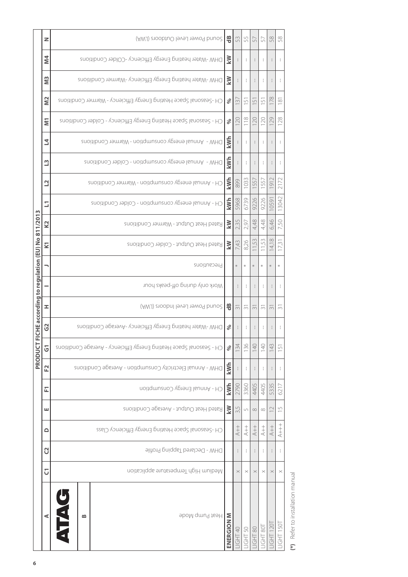|                                             | z                       | (AWJ) enobtuO level cutdoors (LWA)                                 | $\frac{16}{10}$ | 53                       | 55             | 57              | 57       | 58                         | 58                      |
|---------------------------------------------|-------------------------|--------------------------------------------------------------------|-----------------|--------------------------|----------------|-----------------|----------|----------------------------|-------------------------|
|                                             | <b>M4</b>               | DHW-Water heating Energy Efficiency -COlder Conditions             | KW              |                          |                |                 | J.       |                            |                         |
|                                             | $\overline{M}$          | DHW-Water heating Energy Efficiency-Warmer Conditions              | KW              |                          | ÷              |                 | ÷        |                            |                         |
|                                             | N <sub>2</sub>          | CH -Seasonal Space Heating Energy Efficiency - Warmer Conditions   | ℅               | $\overline{3}$           | 5              | $\Box$          | $\cup$   | 78                         | $\frac{18}{1}$          |
|                                             | Ξ                       | CH - Seasonal Space Heating Energy Efficiency - Colder Conditions  | $\%$            | 120                      |                | 20              | 120      | 29                         | 128                     |
|                                             | 2                       | DHW - Annual energy consumption - Warmer Conditions                | kWh             |                          |                |                 |          |                            |                         |
|                                             | $\mathbf{u}$            | DHW - Annual energy consumption - Colder Conditions                | kWh             |                          | ł              |                 | ÷        |                            | ŧ                       |
|                                             | $\mathbf{C}$            | CH - Annual energy consumption - Warmer Conditions                 | kWh             | 899                      | 033            | 55              | 55       | $\overline{0}$             | 2172                    |
| m                                           | ΣÎ,                     | CH - Annual energy consumption - Colder Conditions                 | kWh             | 5968                     | 6739           | 9226            | 9226     | 059                        | 13042                   |
|                                             | K <sub>2</sub>          | Rated Heat Output - Warmer Conditions                              | KW              | 2,35                     | 2,97           | 4,48            | 4,48     | 6,46                       | 7,50                    |
| CHE according to regulation (EU) No 811/201 | $\overline{\mathbf{K}}$ | Rated Heat Output - Colder Conditions                              | KW              | 7,43                     | 8,26           | 5S              | 53       | $\infty$<br>$\overline{4}$ | 173                     |
|                                             |                         | Precautions                                                        |                 | $*$                      |                |                 |          |                            |                         |
|                                             |                         | Work only during off-peaks hour                                    |                 |                          |                |                 |          |                            |                         |
|                                             | I                       | (AWJ) enobril level Indoors (LWA)                                  | 뜽               | $\overline{\mathcal{C}}$ | $\sim$         | $\sim$          | $\sim$   | $\sim$                     | $\sim$                  |
|                                             | G                       | DHW-Water heating Energy Efficiency -Average Conditions            | ℅               |                          |                |                 |          |                            |                         |
| <b>PRODUCTF</b>                             | $\overline{G}$          | CH - Seasonal Space Heating Energy Efficiency - Average Conditions | $\%$            | 134                      | 136            | $\frac{140}{1}$ | 140      | 143                        | $\overline{5}$          |
|                                             | F <sub>2</sub>          | DHW - Annual Electricity Consumption - Average Conditions          | kWh             |                          |                |                 | ÷        |                            |                         |
|                                             | 됴                       | CH - Annal Energy Consumption                                      | kWh             | 2790                     | 3360           | 4405            | 4405     | 5335                       | 6217                    |
|                                             | ш                       | Rated Heat Output - Average Conditions                             | kW              | 35                       | $\overline{L}$ | $\infty$        | $\infty$ | $\supseteq$                | $\frac{\Gamma}{\Gamma}$ |
|                                             | ≏                       | CH-Seasonal Space Heating Energy Efficiency Class                  |                 | $+ +$                    | $+ +$          | $+ +$           | $+$      | $+$                        | $^{++}_{++}$            |
|                                             | C                       | <b>DHW - Declared Tapping Profile</b>                              |                 |                          |                |                 |          |                            |                         |
|                                             | $\overline{C}$          | Medium High Temperature application                                |                 | $\times$                 | $\times$       | $\times$        | $\times$ | $\times$                   | $\times$                |
|                                             | ⋖                       | H<br>Heat Pump Mode<br>$\bf{m}$                                    | ENERGION M      | IGHT 40                  | IGHT 50        | IGHT 80         | IGHT 80T | T120<br>EU                 | <b>JGHT 150T</b>        |
| 6                                           |                         |                                                                    |                 |                          |                |                 |          |                            |                         |

(\*) Refer to installation manual **(\*)** Refer to installation manual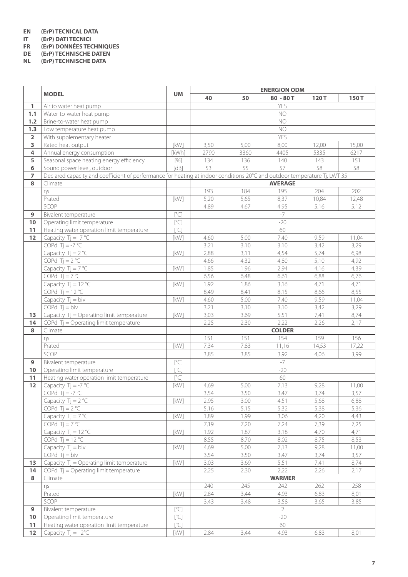# **EN (ErP) TECNICAL DATA**

**IT (ErP) DATI TECNICI**

**FR (ErP) DONNÉES TECHNIQUES**

**DE (ErP) TECHNISCHE DATEN**

**NL (ErP) TECHNISCHE DATA**

|                         | <b>MODEL</b>                                                                                                              | <b>UM</b>                                                                                                                                                                                                                                                 | <b>ENERGION ODM</b> |      |                |       |       |  |  |  |
|-------------------------|---------------------------------------------------------------------------------------------------------------------------|-----------------------------------------------------------------------------------------------------------------------------------------------------------------------------------------------------------------------------------------------------------|---------------------|------|----------------|-------|-------|--|--|--|
|                         |                                                                                                                           |                                                                                                                                                                                                                                                           | 40                  | 50   | $80 - 80T$     | 120T  | 150T  |  |  |  |
| 1                       | Air to water heat pump                                                                                                    |                                                                                                                                                                                                                                                           |                     |      | YES            |       |       |  |  |  |
| 1.1                     | Water-to-water heat pump                                                                                                  |                                                                                                                                                                                                                                                           |                     |      | NO             |       |       |  |  |  |
| 1.2                     | Brine-to-water heat pump                                                                                                  |                                                                                                                                                                                                                                                           |                     |      | NO             |       |       |  |  |  |
| 1.3                     | Low temperature heat pump                                                                                                 |                                                                                                                                                                                                                                                           |                     |      | <b>NO</b>      |       |       |  |  |  |
| $\overline{\mathbf{2}}$ | With supplementary heater                                                                                                 |                                                                                                                                                                                                                                                           |                     |      | YES            |       |       |  |  |  |
| 3                       | Rated heat output                                                                                                         | [kW]                                                                                                                                                                                                                                                      | 3,50                | 5,00 | 8,00           | 12,00 | 15,00 |  |  |  |
| $\overline{4}$          | Annual energy consumption                                                                                                 | [kWh]                                                                                                                                                                                                                                                     | 2790                | 3360 | 4405           | 5335  | 6217  |  |  |  |
| 5                       | Seasonal space heating energy efficiency                                                                                  | $[%] \begin{subfigure}[t]{0.45\textwidth} \centering \includegraphics[width=\textwidth]{figs/fig_10.pdf} \caption{The 3D (top) and the 4D (top) and the 4D (top) are the 4D (top) and the 4D (bottom) is the 4D (bottom).} \label{fig:1} \end{subfigure}$ | 134                 | 136  | 140            | 143   | 151   |  |  |  |
| 6                       | Sound power level, outdoor                                                                                                | [dB]                                                                                                                                                                                                                                                      | 53                  | 55   | 57             | 58    | 58    |  |  |  |
| $\overline{7}$          | Declared capacity and coefficient of performance for heating at indoor conditions 20°C and outdoor temperature Tj, LWT 35 |                                                                                                                                                                                                                                                           |                     |      |                |       |       |  |  |  |
| 8                       | Climate                                                                                                                   |                                                                                                                                                                                                                                                           |                     |      | <b>AVERAGE</b> |       |       |  |  |  |
|                         | ns                                                                                                                        |                                                                                                                                                                                                                                                           | 193                 | 184  | 195            | 204   | 202   |  |  |  |
|                         | Prated                                                                                                                    | [kW]                                                                                                                                                                                                                                                      | 5,20                | 5,65 | 8,37           | 10,84 | 12,48 |  |  |  |
|                         | SCOP                                                                                                                      |                                                                                                                                                                                                                                                           | 4,89                | 4,67 | 4,95           | 5,16  | 5,12  |  |  |  |
| 9                       | Bivalent temperature                                                                                                      | [°C]                                                                                                                                                                                                                                                      |                     |      | $-7$           |       |       |  |  |  |
| 10                      | Operating limit temperature                                                                                               | $\overline{C}$                                                                                                                                                                                                                                            |                     |      | $-20$          |       |       |  |  |  |
| 11                      | Heating water operation limit temperature                                                                                 | $[^{\circ}C]$                                                                                                                                                                                                                                             |                     |      | 60             |       |       |  |  |  |
| $12$                    | Capacity $Tj = -7$ °C                                                                                                     | [kW]                                                                                                                                                                                                                                                      | 4,60                | 5,00 | 7,40           | 9,59  | 11,04 |  |  |  |
|                         | COPd $Tj = -7$ °C                                                                                                         |                                                                                                                                                                                                                                                           | 3,21                | 3,10 | 3,10           | 3,42  | 3,29  |  |  |  |
|                         | Capacity $Tj = 2^{\circ}C$                                                                                                | [kW]                                                                                                                                                                                                                                                      | 2,88                | 3,11 | 4,54           | 5,74  | 6,98  |  |  |  |
|                         | COPd $Ti = 2 °C$                                                                                                          |                                                                                                                                                                                                                                                           | 4,66                | 4,32 | 4,80           | 5,10  | 4,92  |  |  |  |
|                         | Capacity $Ti = 7 °C$                                                                                                      | [kW]                                                                                                                                                                                                                                                      | 1,85                | 1,96 | 2,94           | 4,16  | 4,39  |  |  |  |
|                         |                                                                                                                           |                                                                                                                                                                                                                                                           |                     |      |                |       |       |  |  |  |
|                         | COPd $Tj = 7 °C$                                                                                                          |                                                                                                                                                                                                                                                           | 6,56                | 6,48 | 6,61           | 6,88  | 6,76  |  |  |  |
|                         | Capacity $Tj = 12 °C$                                                                                                     | [kW]                                                                                                                                                                                                                                                      | 1,92                | 1,86 | 3,16           | 4,71  | 4,71  |  |  |  |
|                         | COPd $Tj = 12 °C$                                                                                                         |                                                                                                                                                                                                                                                           | 8,49                | 8,41 | 8,15           | 8,66  | 8,55  |  |  |  |
|                         | Capacity $Tj = biv$                                                                                                       | [kW]                                                                                                                                                                                                                                                      | 4,60                | 5,00 | 7,40           | 9,59  | 11,04 |  |  |  |
|                         | $COPd$ Tj = biv                                                                                                           |                                                                                                                                                                                                                                                           | 3,21                | 3,10 | 3,10           | 3,42  | 3,29  |  |  |  |
| 13                      | Capacity Tj = Operating limit temperature                                                                                 | [kW]                                                                                                                                                                                                                                                      | 3,03                | 3,69 | 5,51           | 7,41  | 8,74  |  |  |  |
| 14                      | COPd Tj = Operating limit temperature                                                                                     |                                                                                                                                                                                                                                                           | 2,25                | 2,30 | 2,22           | 2,26  | 2,17  |  |  |  |
| 8                       | Climate                                                                                                                   |                                                                                                                                                                                                                                                           |                     |      | <b>COLDER</b>  |       |       |  |  |  |
|                         | ηs                                                                                                                        |                                                                                                                                                                                                                                                           | 151                 | 151  | 154            | 159   | 156   |  |  |  |
|                         | Prated                                                                                                                    | [kW]                                                                                                                                                                                                                                                      | 7,34                | 7,83 | 11,16          | 14,53 | 17,22 |  |  |  |
|                         | SCOP                                                                                                                      |                                                                                                                                                                                                                                                           | 3,85                | 3,85 | 3,92           | 4,06  | 3,99  |  |  |  |
| 9                       | Bivalent temperature                                                                                                      | [°C]                                                                                                                                                                                                                                                      |                     |      | $-7$           |       |       |  |  |  |
| 10                      | Operating limit temperature                                                                                               | [°C]                                                                                                                                                                                                                                                      |                     |      | $-20$          |       |       |  |  |  |
| 11                      | Heating water operation limit temperature                                                                                 | [°C]                                                                                                                                                                                                                                                      |                     |      | 60             |       |       |  |  |  |
| 12                      | Capacity $Tj = -7$ °C                                                                                                     | [kW]                                                                                                                                                                                                                                                      | 4,69                | 5,00 | 7,13           | 9,28  | 11,00 |  |  |  |
|                         | COPd Tj = $-7^{\circ}C$                                                                                                   |                                                                                                                                                                                                                                                           | 3,54                | 3,50 | 3,47           | 3,74  | 3,57  |  |  |  |
|                         | Capacity $Tj = 2^{\circ}C$                                                                                                | [kW]                                                                                                                                                                                                                                                      | 2,95                | 3,00 | 4,51           | 5,68  | 6,88  |  |  |  |
|                         | COPd $Tj = 2$ °C                                                                                                          |                                                                                                                                                                                                                                                           | 5,16                | 5,15 | 5,32           | 5,38  | 5,36  |  |  |  |
|                         | Capacity $Tj = 7 °C$                                                                                                      | [kW]                                                                                                                                                                                                                                                      | 1,89                | 1,99 | 3,06           | 4,20  | 4,43  |  |  |  |
|                         | COPd $Ti = 7 °C$                                                                                                          |                                                                                                                                                                                                                                                           | 7,19                | 7,20 | 7,24           | 7,39  | 7,25  |  |  |  |
|                         | Capacity $Tj = 12 °C$                                                                                                     | [kW]                                                                                                                                                                                                                                                      | 1,92                | 1,87 | 3,18           | 4,70  | 4,71  |  |  |  |
|                         | COPd Tj = $12^{\circ}$ C                                                                                                  |                                                                                                                                                                                                                                                           | 8,55                | 8,70 | 8,02           | 8,75  | 8,53  |  |  |  |
|                         | Capacity $Tj = biv$                                                                                                       | [kW]                                                                                                                                                                                                                                                      | 4,69                | 5,00 | 7,13           | 9,28  | 11,00 |  |  |  |
|                         | $COPd$ Tj = biv                                                                                                           |                                                                                                                                                                                                                                                           | 3,54                | 3,50 | 3,47           | 3,74  | 3,57  |  |  |  |
| 13                      | Capacity Tj = Operating limit temperature                                                                                 | [kW]                                                                                                                                                                                                                                                      | 3,03                | 3,69 | 5,51           | 7,41  | 8,74  |  |  |  |
| 14                      | COPd Tj = Operating limit temperature                                                                                     |                                                                                                                                                                                                                                                           | 2,25                | 2,30 | 2,22           | 2,26  | 2,17  |  |  |  |
| 8                       | Climate                                                                                                                   |                                                                                                                                                                                                                                                           |                     |      | <b>WARMER</b>  |       |       |  |  |  |
|                         |                                                                                                                           |                                                                                                                                                                                                                                                           |                     |      |                |       |       |  |  |  |
|                         | ηs                                                                                                                        |                                                                                                                                                                                                                                                           | 240                 | 245  | 242            | 262   | 258   |  |  |  |
|                         | Prated                                                                                                                    | [kW]                                                                                                                                                                                                                                                      | 2,84                | 3,44 | 4,93           | 6,83  | 8,01  |  |  |  |
|                         | SCOP                                                                                                                      |                                                                                                                                                                                                                                                           | 3,43                | 3,48 | 3,58           | 3,65  | 3,85  |  |  |  |
| 9                       | Bivalent temperature                                                                                                      | [°C]                                                                                                                                                                                                                                                      |                     |      | $\overline{2}$ |       |       |  |  |  |
| 10                      | Operating limit temperature                                                                                               | [°C]                                                                                                                                                                                                                                                      |                     |      | $-20$          |       |       |  |  |  |
| 11                      | Heating water operation limit temperature                                                                                 | [°C]                                                                                                                                                                                                                                                      |                     |      | 60             |       |       |  |  |  |
| $12$                    | Capacity $Tj = 2^{\circ}C$                                                                                                | [kW]                                                                                                                                                                                                                                                      | 2,84                | 3,44 | 4,93           | 6,83  | 8,01  |  |  |  |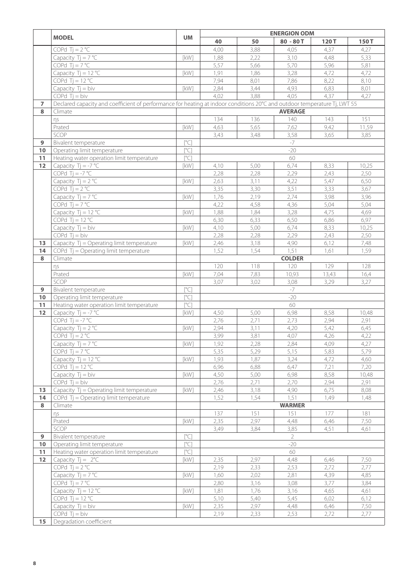|                |                                                                                                                           |               |      | <b>ENERGION ODM</b> |                |               |              |  |
|----------------|---------------------------------------------------------------------------------------------------------------------------|---------------|------|---------------------|----------------|---------------|--------------|--|
|                | <b>MODEL</b>                                                                                                              | <b>UM</b>     | 40   | 50                  | $80 - 80T$     | 120T          | 150T         |  |
|                | COPd $Tj = 2$ °C                                                                                                          |               | 4,00 | 3,88                | 4,05           | 4,37          | 4,27         |  |
|                | Capacity $Tj = 7$ °C                                                                                                      | [kW]          | 1,88 | 2,22                | 3,10           | 4,48          | 5,33         |  |
|                | COPd $Ti = 7 °C$                                                                                                          |               | 5,57 | 5,66                | 5,70           | 5,96          | 5,81         |  |
|                | Capacity $Tj = 12 °C$                                                                                                     | [kW]          | 1,91 | 1,86                | 3,28           | 4,72          | 4,72         |  |
|                | COPd Tj = $12 °C$                                                                                                         |               | 7,94 | 8,01                | 7,86           | 8,22          | 8,10         |  |
|                | Capacity $Tj = biv$                                                                                                       | [kW]          | 2,84 | 3,44                | 4,93           | 6,83          | 8,01         |  |
|                | COPd $Tj = biv$                                                                                                           |               | 4,02 | 3,88                | 4,05           | 4,37          | 4,27         |  |
| $\overline{ }$ | Declared capacity and coefficient of performance for heating at indoor conditions 20°C and outdoor temperature Tj, LWT 55 |               |      |                     |                |               |              |  |
| 8              | Climate                                                                                                                   |               |      |                     | <b>AVERAGE</b> |               |              |  |
|                | ηs                                                                                                                        |               | 134  | 136                 | 140            | 143           | 151          |  |
|                | Prated                                                                                                                    | [kW]          | 4,63 | 5,65                | 7,62           | 9,42          | 11,59        |  |
|                | SCOP                                                                                                                      |               | 3,43 | 3,48                | 3,58           | 3,65          | 3,85         |  |
| 9              | Bivalent temperature                                                                                                      | [°C]          |      |                     | $-7$           |               |              |  |
| 10             | Operating limit temperature                                                                                               | $[^{\circ}C]$ |      |                     | $-20$          |               |              |  |
| 11             | Heating water operation limit temperature                                                                                 | [°C]          |      |                     | 60             |               |              |  |
| 12             | Capacity $Tj = -7$ °C                                                                                                     | [kW]          | 4,10 | 5,00                | 6,74           | 8,33          | 10,25        |  |
|                | COPd $Ti = -7 °C$                                                                                                         |               | 2,28 | 2,28                | 2,29           | 2,43          | 2,50         |  |
|                | Capacity $Tj = 2$ °C                                                                                                      | [kW]          | 2,63 | 3,11                | 4,22           | 5,47          | 6,50         |  |
|                | COPd $Tj = 2$ °C                                                                                                          |               | 3,35 | 3,30                | 3,51           | 3,33          | 3,67         |  |
|                | Capacity $Tj = 7 °C$                                                                                                      | [kW]          | 1,76 | 2,19                | 2,74           | 3,98          | 3,96         |  |
|                | COPd $Tj = 7 °C$                                                                                                          |               | 4,22 | 4,58                | 4,36           | 5,04          | 5,04         |  |
|                | Capacity $Tj = 12 °C$                                                                                                     | [kW]          | 1,88 | 1,84                | 3,28           | 4,75          | 4,69         |  |
|                | COPd Tj = $12 °C$                                                                                                         |               | 6,30 | 6,33                | 6,50           | 6,86          | 6,97         |  |
|                | Capacity $Tj = biv$                                                                                                       | [kW]          | 4,10 | 5,00                | 6,74           | 8,33          | 10,25        |  |
|                | $COPd$ Tj = biv                                                                                                           |               | 2,28 | 2,28                | 2,29           | 2,43          |              |  |
|                |                                                                                                                           | [kW]          |      |                     |                |               | 2,50         |  |
| 13<br>14       | Capacity Tj = Operating limit temperature                                                                                 |               | 2,46 | 3,18                | 4,90<br>1,51   | 6,12          | 7,48         |  |
| 8              | COPd Tj = Operating limit temperature<br>Climate                                                                          |               | 1,52 | 1,54                | <b>COLDER</b>  | 1,61          | 1,59         |  |
|                |                                                                                                                           |               | 120  | 118                 |                | 129           | 128          |  |
|                | ηs                                                                                                                        | [kW]          | 7,04 | 7,83                | 120            |               |              |  |
|                | Prated<br>SCOP                                                                                                            |               | 3,07 | 3,02                | 10,93          | 13,43<br>3,29 | 16,4<br>3,27 |  |
| $\overline{9}$ |                                                                                                                           | [°C]          |      |                     | 3,08<br>$-7$   |               |              |  |
|                | Bivalent temperature                                                                                                      |               |      |                     |                |               |              |  |
| 10             | Operating limit temperature                                                                                               | [°C]          |      |                     | $-20$          |               |              |  |
| 11<br>12       | Heating water operation limit temperature<br>Capacity $Tj = -7$ °C                                                        | [°C]          | 4,50 | 5,00                | 60<br>6,98     | 8,58          |              |  |
|                | COPd Tj = $-7^{\circ}$ C                                                                                                  | [kW]          | 2,76 | 2,71                |                | 2,94          | 10,48        |  |
|                | Capacity $Tj = 2$ °C                                                                                                      | [kW]          | 2,94 |                     | 2,73<br>4,20   | 5,42          | 2,91         |  |
|                | COPd $Tj = 2$ °C                                                                                                          |               | 3,99 | 3,11                | 4,07           | 4,26          | 6,45<br>4,22 |  |
|                |                                                                                                                           |               |      | 3,81                |                | 4,09          |              |  |
|                | Capacity $Tj = 7^{\circ}C$<br>COPd $Tj = 7 °C$                                                                            | [kW]          | 1,92 | 2,28                | 2,84           |               | 4,27<br>5,79 |  |
|                |                                                                                                                           | [kW]          | 5,35 | 5,29                | 5,15           | 5,83          |              |  |
|                | Capacity $Tj = 12 °C$                                                                                                     |               | 1,93 | 1,87                | 3,24           | 4,72          | 4,60         |  |
|                | COPd Tj = $12^{\circ}$ C                                                                                                  |               | 6,96 | 6,88                | 6,47           | 7,21          | 7,20         |  |
|                | Capacity $Tj = biv$                                                                                                       | [kW]          | 4,50 | 5,00                | 6,98           | 8,58          | 10,48        |  |
|                | $COPd$ Tj = biv                                                                                                           |               | 2,76 | 2,71                | 2,70           | 2,94          | 2,91         |  |
| 13<br>14       | Capacity Tj = Operating limit temperature                                                                                 | [kW]          | 2,46 | 3,18                | 4,90           | 6,75          | 8,08         |  |
| 8              | COPd $Tj =$ Operating limit temperature                                                                                   |               | 1,52 | 1,54                | 1,51           | 1,49          | 1,48         |  |
|                | Climate                                                                                                                   |               | 137  | 151                 | <b>WARMER</b>  | 177           | 181          |  |
|                | ηs                                                                                                                        |               |      |                     | 151            |               |              |  |
|                | Prated                                                                                                                    | [kW]          | 2,35 | 2,97                | 4,48           | 6,46          | 7,50         |  |
|                | SCOP                                                                                                                      |               | 3,49 | 3,84                | 3,85           | 4,51          | 4,61         |  |
| 9              | Bivalent temperature                                                                                                      | [°C]          |      |                     | $\overline{2}$ |               |              |  |
| 10             | Operating limit temperature                                                                                               | [°C]          |      |                     | $-20$          |               |              |  |
| 11             | Heating water operation limit temperature                                                                                 | [°C]          |      |                     | 60             |               |              |  |
| 12             | Capacity $Tj = 2^{\circ}C$                                                                                                | [kW]          | 2,35 | 2,97                | 4,48           | 6,46          | 7,50         |  |
|                | COPd $Tj = 2$ °C                                                                                                          |               | 2,19 | 2,33                | 2,53           | 2,72          | 2,77         |  |
|                | Capacity $Tj = 7^{\circ}C$                                                                                                | [kW]          | 1,60 | 2,02                | 2,81           | 4,39          | 4,85         |  |
|                | COPd $Tj = 7 °C$                                                                                                          |               | 2,80 | 3,16                | 3,08           | 3,77          | 3,84         |  |
|                | Capacity $Tj = 12 °C$                                                                                                     | [kW]          | 1,81 | 1,76                | 3,16           | 4,65          | 4,61         |  |
|                | COPd Tj = $12^{\circ}$ C                                                                                                  |               | 5,10 | 5,40                | 5,45           | 6,02          | 6,12         |  |
|                | Capacity $Tj = biv$                                                                                                       | [kW]          | 2,35 | 2,97                | 4,48           | 6,46          | 7,50         |  |
|                | $COPd$ Tj = biv                                                                                                           |               | 2,19 | 2,33                | 2,53           | 2,72          | 2,77         |  |
| 15             | Degradation coefficient                                                                                                   |               |      |                     |                |               |              |  |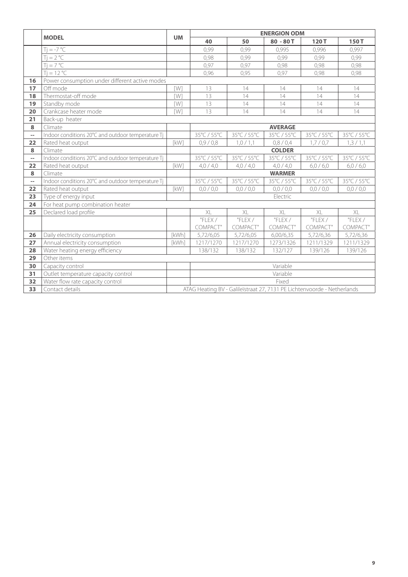|                          |                                                   |            | <b>ENERGION ODM</b> |                                                                         |                |             |             |  |  |  |
|--------------------------|---------------------------------------------------|------------|---------------------|-------------------------------------------------------------------------|----------------|-------------|-------------|--|--|--|
|                          | <b>MODEL</b>                                      | <b>UM</b>  | 40                  | 50                                                                      | $80 - 80T$     | 120T        | 150T        |  |  |  |
|                          | $=-7$ °C                                          |            | 0,99                | 0,99                                                                    | 0,995          | 0,996       | 0,997       |  |  |  |
|                          | $=2 °C$                                           |            | 0,98                | 0,99                                                                    | 0,99           | 0,99        | 0,99        |  |  |  |
|                          | $Ti = 7 °C$                                       |            | 0,97                | 0,97                                                                    | 0,98           | 0,98        | 0,98        |  |  |  |
|                          | $Ti = 12 °C$                                      |            | 0,96                | 0,95                                                                    | 0,97           | 0.98        | 0.98        |  |  |  |
| 16                       | Power consumption under different active modes    |            |                     |                                                                         |                |             |             |  |  |  |
| 17                       | Off mode                                          | [W]        | 13                  | 14                                                                      | 14             | 14          | 14          |  |  |  |
| 18                       | Thermostat-off mode                               | <b>TW1</b> | 13                  | 14                                                                      | 14             | 14          | 14          |  |  |  |
| 19                       | Standby mode                                      | <b>TW1</b> | 13                  | 14                                                                      | 14             | 14          | 14          |  |  |  |
| 20                       | Crankcase heater mode                             | [W]        | 13                  | 14                                                                      | 14             | 14          | 14          |  |  |  |
| 21                       | Back-up heater                                    |            |                     |                                                                         |                |             |             |  |  |  |
| 8                        | Climate                                           |            |                     |                                                                         | <b>AVERAGE</b> |             |             |  |  |  |
| $\overline{\phantom{m}}$ | Indoor conditions 20°C and outdoor temperature Tj |            | 35°C / 55°C         | 35°C / 55°C                                                             | 35°C / 55°C    | 35°C / 55°C | 35°C / 55°C |  |  |  |
| 22                       | Rated heat output                                 | [kW]       | 0,9/0,8             | 1,0/1,1                                                                 | 0,8/0,4        | 1,7/0,7     | 1, 3 / 1, 1 |  |  |  |
| 8                        | Climate                                           |            |                     |                                                                         | <b>COLDER</b>  |             |             |  |  |  |
| $\overline{a}$           | Indoor conditions 20°C and outdoor temperature Tj |            | 35°C / 55°C         | 35°C / 55°C                                                             | 35°C / 55°C    | 35°C / 55°C | 35°C / 55°C |  |  |  |
| 22                       | Rated heat output                                 | [kW]       | 4,0/4,0             | 4,0/4,0                                                                 | 4,0/4,0        | 6,0/6,0     | 6,0/6,0     |  |  |  |
| 8                        | Climate                                           |            |                     |                                                                         | <b>WARMER</b>  |             |             |  |  |  |
| $\overline{\phantom{a}}$ | Indoor conditions 20°C and outdoor temperature Tj |            | 35°C / 55°C         | 35°C / 55°C                                                             | 35°C / 55°C    | 35°C / 55°C | 35°C / 55°C |  |  |  |
| 22                       | Rated heat output                                 | [kW]       | 0,0/0,0             | 0,0/0,0                                                                 | 0,0/0,0        | 0.0 / 0.0   | 0,0/0,0     |  |  |  |
| 23                       | Type of energy input                              |            |                     |                                                                         | Electric       |             |             |  |  |  |
| 24                       | For heat pump combination heater                  |            |                     |                                                                         |                |             |             |  |  |  |
| 25                       | Declared load profile                             |            | X                   | $X \Gamma$                                                              | XL             | $X \mid$    | X           |  |  |  |
|                          |                                                   |            | "FLEX/              | "FLEX/                                                                  | "FLEX/         | "FLEX/      | "FLEX/      |  |  |  |
|                          |                                                   |            | COMPACT"            | COMPACT"                                                                | COMPACT"       | COMPACT"    | COMPACT"    |  |  |  |
| 26                       | Daily electricity consumption                     | [kWh]      | 5,72/6,05           | 5,72/6,05                                                               | 6,00/6,35      | 5,72/6,36   | 5,72/6,36   |  |  |  |
| 27                       | Annual electricity consumption                    | [kWh]      | 1217/1270           | 1217/1270                                                               | 1273/1326      | 1211/1329   | 1211/1329   |  |  |  |
| 28                       | Water heating energy efficiency                   |            | 138/132             | 138/132                                                                 | 132/127        | 139/126     | 139/126     |  |  |  |
| 29                       | Other items                                       |            |                     |                                                                         |                |             |             |  |  |  |
| 30                       | Capacity control                                  |            |                     |                                                                         | Variable       |             |             |  |  |  |
| 31                       | Outlet temperature capacity control               |            |                     |                                                                         | Variable       |             |             |  |  |  |
| 32                       | Water flow rate capacity control                  |            |                     |                                                                         | Fixed          |             |             |  |  |  |
| 33                       | Contact details                                   |            |                     | ATAG Heating BV - Galileïstraat 27, 7131 PE Lichtenvoorde - Netherlands |                |             |             |  |  |  |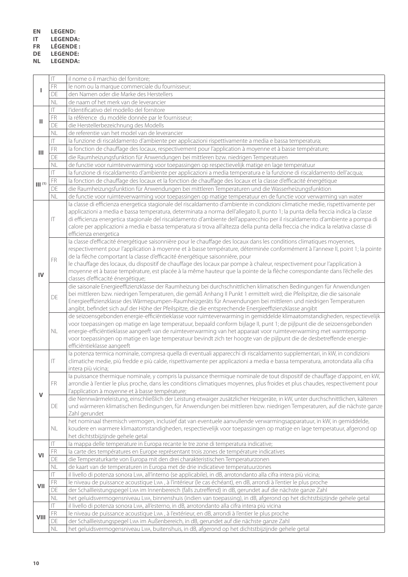- **EN LEGEND:**
- **IT LEGENDA:**

**FR LÉGENDE :**

**DE LEGENDE:**

**NL LEGENDA:**

| ${\sf FR}$<br>DE          | le nom ou la marque commerciale du fournisseur;                                                                                                                                                                                                                                                                                                                                                                                                                                                                                                                                                                                     |
|---------------------------|-------------------------------------------------------------------------------------------------------------------------------------------------------------------------------------------------------------------------------------------------------------------------------------------------------------------------------------------------------------------------------------------------------------------------------------------------------------------------------------------------------------------------------------------------------------------------------------------------------------------------------------|
|                           |                                                                                                                                                                                                                                                                                                                                                                                                                                                                                                                                                                                                                                     |
|                           | den Namen oder die Marke des Herstellers                                                                                                                                                                                                                                                                                                                                                                                                                                                                                                                                                                                            |
| NL                        | de naam of het merk van de leverancier                                                                                                                                                                                                                                                                                                                                                                                                                                                                                                                                                                                              |
| $\mathsf{I} \mathsf{T}$   | l'identificativo del modello del fornitore                                                                                                                                                                                                                                                                                                                                                                                                                                                                                                                                                                                          |
| FR                        | la référence du modèle donnée par le fournisseur;                                                                                                                                                                                                                                                                                                                                                                                                                                                                                                                                                                                   |
| Ш<br>DE                   | die Herstellerbezeichnung des Modells                                                                                                                                                                                                                                                                                                                                                                                                                                                                                                                                                                                               |
| <b>NL</b>                 | de referentie van het model van de leverancier                                                                                                                                                                                                                                                                                                                                                                                                                                                                                                                                                                                      |
| $\mathsf{I}$              | la funzione di riscaldamento d'ambiente per applicazioni rispettivamente a media e bassa temperatura;                                                                                                                                                                                                                                                                                                                                                                                                                                                                                                                               |
| FR                        | la fonction de chauffage des locaux, respectivement pour l'application à moyenne et à basse température;                                                                                                                                                                                                                                                                                                                                                                                                                                                                                                                            |
| Ш<br>DE                   | die Raumheizungsfunktion für Anwendungen bei mittleren bzw. niedrigen Temperaturen                                                                                                                                                                                                                                                                                                                                                                                                                                                                                                                                                  |
| <b>NL</b>                 | de functie voor ruimteverwarming voor toepassingen op respectievelijk matige en lage temperatuur                                                                                                                                                                                                                                                                                                                                                                                                                                                                                                                                    |
| $ \top\>$                 | la funzione di riscaldamento d'ambiente per applicazioni a media temperatura e la funzione di riscaldamento dell'acqua;                                                                                                                                                                                                                                                                                                                                                                                                                                                                                                             |
|                           |                                                                                                                                                                                                                                                                                                                                                                                                                                                                                                                                                                                                                                     |
| FR<br>$\mathbf{  }$ $(1)$ | la fonction de chauffage des locaux et la fonction de chauffage des locaux et la classe d'efficacité énergétique                                                                                                                                                                                                                                                                                                                                                                                                                                                                                                                    |
| DE                        | die Raumheizungsfunktion für Anwendungen bei mittleren Temperaturen und die Wasserheizungsfunktion                                                                                                                                                                                                                                                                                                                                                                                                                                                                                                                                  |
| NL                        | de functie voor ruimteverwarming voor toepassingen op matige temperatuur en de functie voor verwarming van water                                                                                                                                                                                                                                                                                                                                                                                                                                                                                                                    |
| IT.                       | la classe di efficienza energetica stagionale del riscaldamento d'ambiente in condizioni climatiche medie, rispettivamente per<br>applicazioni a media e bassa temperatura, determinata a norma dell'allegato II, punto 1; la punta della freccia indica la classe<br>di efficienza energetica stagionale del riscaldamento d'ambiente dell'apparecchio per il riscaldamento d'ambiente a pompa di<br>calore per applicazioni a media e bassa temperatura si trova all'altezza della punta della freccia che indica la relativa classe di<br>efficienza energetica                                                                  |
| <b>FR</b><br>IV           | la classe d'efficacité énergétique saisonnière pour le chauffage des locaux dans les conditions climatiques moyennes,<br>respectivement pour l'application à moyenne et à basse température, déterminée conformément à l'annexe II, point 1; la pointe<br>de la flèche comportant la classe d'efficacité énergétique saisonnière, pour<br>le chauffage des locaux, du dispositif de chauffage des locaux par pompe à chaleur, respectivement pour l'application à<br>moyenne et à basse température, est placée à la même hauteur que la pointe de la flèche correspondante dans l'échelle des<br>classes d'efficacité énergétique; |
| DE                        | die saisonale Energieeffizienzklasse der Raumheizung bei durchschnittlichen klimatischen Bedingungen für Anwendungen<br>bei mittleren bzw. niedrigen Temperaturen, die gemäß Anhang II Punkt 1 ermittelt wird; die Pfeilspitze, die die saisonale<br>Energieeffizienzklasse des Wärmepumpen-Raumheizgeräts für Anwendungen bei mittleren und niedrigen Temperaturen<br>angibt, befindet sich auf der Höhe der Pfeilspitze, die die entsprechende Energieeffizienzklasse angibt                                                                                                                                                      |
| NL                        | de seizoensgebonden energie-efficiëntieklasse voor ruimteverwarming in gemiddelde klimaatomstandigheden, respectievelijk<br>voor toepassingen op matige en lage temperatuur, bepaald conform bijlage II, punt 1; de pijlpunt die de seizoensgebonden<br>energie-efficiëntieklasse aangeeft van de ruimteverwarming van het apparaat voor ruimteverwarming met warmtepomp<br>voor toepassingen op matige en lage temperatuur bevindt zich ter hoogte van de pijlpunt die de desbetreffende energie-<br>efficiëntieklasse aangeeft                                                                                                    |
| IT.                       | la potenza termica nominale, compresa quella di eventuali apparecchi di riscaldamento supplementari, in kW, in condizioni<br>climatiche medie, più fredde e più calde, rispettivamente per applicazioni a media e bassa temperatura, arrotondata alla cifra<br>intera più vicina;                                                                                                                                                                                                                                                                                                                                                   |
| FR.                       | la puissance thermique nominale, y compris la puissance thermique nominale de tout dispositif de chauffage d'appoint, en kW,<br>arrondie à l'entier le plus proche, dans les conditions climatiques moyennes, plus froides et plus chaudes, respectivement pour<br>l'application à moyenne et à basse température;                                                                                                                                                                                                                                                                                                                  |
| $\mathsf{V}$<br>DE        | die Nennwärmeleistung, einschließlich der Leistung etwaiger zusätzlicher Heizgeräte, in kW, unter durchschnittlichen, kälteren<br>und wärmeren klimatischen Bedingungen, für Anwendungen bei mittleren bzw. niedrigen Temperaturen, auf die nächste ganze<br>Zahl gerundet                                                                                                                                                                                                                                                                                                                                                          |
| NL                        | het nominaal thermisch vermogen, inclusief dat van eventuele aanvullende verwarmingsapparatuur, in kW, in gemiddelde,<br>koudere en warmere klimaatomstandigheden, respectievelijk voor toepassingen op matige en lage temperatuur, afgerond op<br>het dichtstbijzijnde gehele getal                                                                                                                                                                                                                                                                                                                                                |
| $ \top\>$                 | la mappa delle temperature in Europa recante le tre zone di temperatura indicative;                                                                                                                                                                                                                                                                                                                                                                                                                                                                                                                                                 |
| FR<br>VI                  | la carte des températures en Europe représentant trois zones de température indicatives                                                                                                                                                                                                                                                                                                                                                                                                                                                                                                                                             |
| DE                        | die Temperaturkarte von Europa mit den drei charakteristischen Temperaturzonen                                                                                                                                                                                                                                                                                                                                                                                                                                                                                                                                                      |
| <b>NL</b>                 | de kaart van de temperaturen in Europa met de drie indicatieve temperatuurzones                                                                                                                                                                                                                                                                                                                                                                                                                                                                                                                                                     |
| $ \top\>$                 | il livello di potenza sonora LwA, all'interno (se applicabile), in dB, arrotondanto alla cifra intera più vicina;                                                                                                                                                                                                                                                                                                                                                                                                                                                                                                                   |
| FR<br>VII                 | le niveau de puissance acoustique Lwa, à l'intérieur (le cas échéant), en dB, arrondi à l'entier le plus proche                                                                                                                                                                                                                                                                                                                                                                                                                                                                                                                     |
| DE                        | der Schallleistungspegel Lwa im Innenbereich (falls zutreffend) in dB, gerundet auf die nächste ganze Zahl                                                                                                                                                                                                                                                                                                                                                                                                                                                                                                                          |
| <b>NL</b>                 | het geluidsvermogensniveau Lwa, binnenshuis (indien van toepassing), in dB, afgerond op het dichtstbijzijnde gehele getal                                                                                                                                                                                                                                                                                                                                                                                                                                                                                                           |
| $ \top\>$                 | il livello di potenza sonora LwA, all'esterno, in dB, arrotondanto alla cifra intera più vicina                                                                                                                                                                                                                                                                                                                                                                                                                                                                                                                                     |
|                           |                                                                                                                                                                                                                                                                                                                                                                                                                                                                                                                                                                                                                                     |
| FR                        | le niveau de puissance acoustique LwA, à l'extérieur, en dB, arrondi à l'entier le plus proche                                                                                                                                                                                                                                                                                                                                                                                                                                                                                                                                      |
| VIII<br>DE                | der Schallleistungspegel Lwa im Außenbereich, in dB, gerundet auf die nächste ganze Zahl                                                                                                                                                                                                                                                                                                                                                                                                                                                                                                                                            |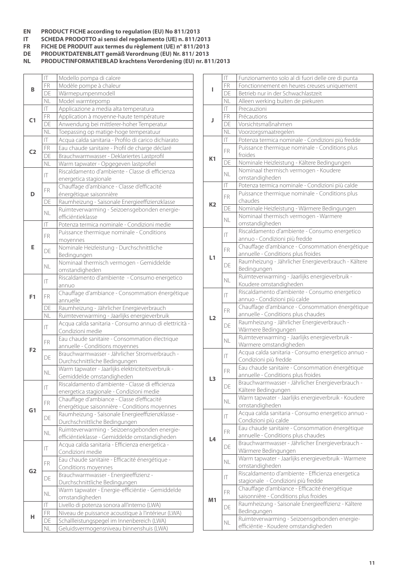- **EN PRODUCT FICHE according to regulation (EU) No 811/2013**
- **IT SCHEDA PRODOTTO ai sensi del regolamento (UE) n. 811/2013**
- **FR FICHE DE PRODUIT aux termes du règlement (UE) n° 811/2013**
- **DE PRODUKTDATENBLATT gemäß Verordnung (EU) Nr. 811/ 2013**

**NL PRODUCTINFORMATIEBLAD krachtens Verordening (EU) nr. 811/2013**

|                | IT                      | Modello pompa di calore                                                                |
|----------------|-------------------------|----------------------------------------------------------------------------------------|
| В              | <b>FR</b>               | Modèle pompe à chaleur                                                                 |
|                | DE                      | Wärmepumpenmodell                                                                      |
|                | NL                      | Model warmtepomp                                                                       |
|                | $\mathsf{I} \mathsf{T}$ | Applicazione a media alta temperatura                                                  |
| C1             | FR                      | Application à moyenne-haute température                                                |
|                | DE                      | Anwendung bei mittlerer-hoher Temperatur                                               |
|                | NL                      | Toepassing op matige-hoge temperatuur                                                  |
|                | $ \top\>$               | Acqua calda sanitaria - Profilo di carico dichiarato                                   |
| C <sub>2</sub> | <b>FR</b>               | Eau chaude sanitaire - Profil de charge déclaré                                        |
|                | DE                      | Brauchwarmwasser - Deklariertes Lastprofil                                             |
|                | NL                      | Warm tapwater - Opgegeven lastprofiel                                                  |
|                | IT                      | Riscaldamento d'ambiente - Classe di efficienza                                        |
|                |                         | energetica stagionale                                                                  |
|                | FR.                     | Chauffage d'ambiance - Classe d'efficacité                                             |
| D              |                         | énergétique saisonnière                                                                |
|                | DE                      | Raumheizung - Saisonale Energieeffizienzklasse                                         |
|                | <b>NL</b>               | Ruimteverwarming - Seizoensgebonden energie-                                           |
|                |                         | efficiëntieklasse                                                                      |
|                | T                       | Potenza termica nominale - Condizioni medie                                            |
|                | FR.                     | Puissance thermique nominale - Conditions                                              |
|                |                         | moyennes                                                                               |
| Е              | DE                      | Nominale Heizleistung - Durchschnittliche                                              |
|                |                         | Bedingungen                                                                            |
|                | <b>NL</b>               | Nominaal thermisch vermogen - Gemiddelde                                               |
|                |                         | omstandigheden                                                                         |
|                | T                       | Riscaldamento d'ambiente - Consumo energetico                                          |
|                |                         | annuo                                                                                  |
| F <sub>1</sub> | FR.                     | Chauffage d'ambiance - Consommation énergétique                                        |
|                |                         | annuelle                                                                               |
|                |                         |                                                                                        |
|                | DE                      | Raumheizung - Jährlicher Energieverbrauch                                              |
|                | NL                      | Ruimteverwarming - Jaarlijks energieverbruik                                           |
|                | IT                      | Acqua calda sanitaria - Consumo annuo di elettricità -                                 |
|                |                         | Condizioni medie                                                                       |
|                | FR.                     | Eau chaude sanitaire - Consommation électrique                                         |
| F <sub>2</sub> |                         | annuelle - Conditions moyennes                                                         |
|                | DE                      | Brauchwarmwasser - Jährlicher Stromverbrauch -                                         |
|                |                         | Durchschnittliche Bedingungen                                                          |
|                | NL                      | Warm tapwater - Jaarlijks elektriciteitsverbruik -<br>Gemiddelde omstandigheden        |
|                |                         | Riscaldamento d'ambiente - Classe di efficienza                                        |
|                | $ \top\>$               | energetica stagionale - Condizioni medie                                               |
|                |                         | Chauffage d'ambiance - Classe d'efficacité                                             |
|                | <b>FR</b>               | énergétique saisonnière - Conditions moyennes                                          |
| G1             |                         | Raumheizung - Saisonale Energieeffizienzklasse -                                       |
|                | DE                      | Durchschnittliche Bedingungen                                                          |
|                |                         | Ruimteverwarming - Seizoensgebonden energie-                                           |
|                | NL                      | efficiëntieklasse - Gemiddelde omstandigheden                                          |
|                |                         | Acqua calda sanitaria - Efficienza energetica -                                        |
|                | $ \top$                 | Condizioni medie                                                                       |
|                | FR.                     | Eau chaude sanitaire - Efficacité énergétique -                                        |
| G <sub>2</sub> |                         | Conditions moyennes                                                                    |
|                | DE                      | Brauchwarmwasser - Energieeffizienz -                                                  |
|                |                         | Durchschnittliche Bedingungen                                                          |
|                | NL                      | Warm tapwater - Energie-efficiëntie - Gemiddelde                                       |
|                |                         | omstandigheden                                                                         |
|                | IT                      | Livello di potenza sonora all'interno (LWA)                                            |
| н              | FR                      | Niveau de puissance acoustique à l'intérieur (LWA)                                     |
|                | DE<br>NL                | Schallleistungspegel im Innenbereich (LWA)<br>Geluidsvermogensniveau binnenshuis (LWA) |

|                | IT           | Funzionamento solo al di fuori delle ore di punta                                      |
|----------------|--------------|----------------------------------------------------------------------------------------|
| ı              | FR           | Fonctionnement en heures creuses uniquement                                            |
|                | DE           | Betrieb nur in der Schwachlastzeit                                                     |
|                | NL           | Alleen werking buiten de piekuren                                                      |
|                | IT.          | Precauzioni                                                                            |
| J              | <b>FR</b>    | Précautions                                                                            |
|                | DE           | Vorsichtsmaßnahmen                                                                     |
|                | NL           | Voorzorgsmaatregelen                                                                   |
|                | IT.          | Potenza termica nominale - Condizioni più fredde                                       |
|                | FR.          | Puissance thermique nominale - Conditions plus                                         |
| K1             |              | froides                                                                                |
|                | DE           | Nominale Heizleistung - Kältere Bedingungen                                            |
|                | <b>NL</b>    | Nominaal thermisch vermogen - Koudere                                                  |
|                |              | omstandigheden                                                                         |
|                | IT           | Potenza termica nominale - Condizioni più calde                                        |
|                | <b>FR</b>    | Puissance thermique nominale - Conditions plus                                         |
| K <sub>2</sub> |              | chaudes                                                                                |
|                | DE           | Nominale Heizleistung - Wärmere Bedingungen                                            |
|                | <b>NL</b>    | Nominaal thermisch vermogen - Warmere<br>omstandigheden                                |
|                |              | Riscaldamento d'ambiente - Consumo energetico                                          |
|                | IT           | annuo - Condizioni più fredde                                                          |
|                |              | Chauffage d'ambiance - Consommation énergétique                                        |
|                | FR.          | annuelle - Conditions plus froides                                                     |
| L1             |              | Raumheizung - Jährlicher Energieverbrauch - Kältere                                    |
|                | DE           | Bedingungen                                                                            |
|                |              | Ruimteverwarming - Jaarlijks energieverbruik -                                         |
|                | <b>NL</b>    | Koudere omstandigheden                                                                 |
|                |              | Riscaldamento d'ambiente - Consumo energetico                                          |
|                | IT           | annuo - Condizioni più calde                                                           |
|                | <b>FR</b>    | Chauffage d'ambiance - Consommation énergétique                                        |
| L2             |              | annuelle - Conditions plus chaudes                                                     |
|                | DE           | Raumheizung - Jährlicher Energieverbrauch -                                            |
|                |              | Wärmere Bedingungen                                                                    |
|                | NL           | Ruimteverwarming - Jaarlijks energieverbruik -                                         |
|                |              | Warmere omstandigheden                                                                 |
|                | $\mathsf{I}$ | Acqua calda sanitaria - Consumo energetico annuo -                                     |
|                |              | Condizioni più fredde                                                                  |
|                | FR           | Eau chaude sanitaire - Consommation énergétique                                        |
| L3             |              | annuelle - Conditions plus froides<br>Brauchwarmwasser - Jährlicher Energieverbrauch - |
|                | DE           | Kältere Bedingungen                                                                    |
|                |              | Warm tapwater - Jaarlijks energieverbruik - Koudere                                    |
|                | NL           | omstandigheden                                                                         |
|                |              | Acqua calda sanitaria - Consumo energetico annuo -                                     |
|                | IT           | Condizioni più calde                                                                   |
|                |              | Eau chaude sanitaire - Consommation énergétique                                        |
|                | FR.          | annuelle - Conditions plus chaudes                                                     |
| L4             |              | Brauchwarmwasser - Jährlicher Energieverbrauch -                                       |
|                | DE           | Wärmere Bedingungen                                                                    |
|                | NL           | Warm tapwater - Jaarlijks energieverbruik - Warmere                                    |
|                |              | omstandigheden                                                                         |
|                | IT           | Riscaldamento d'ambiente - Efficienza energetica                                       |
|                |              | stagionale - Condizioni più fredde                                                     |
|                | FR.          | Chauffage d'ambiance - Efficacité énergétique                                          |
| M1             |              | saisonnière - Conditions plus froides                                                  |
|                | DE           | Raumheizung - Saisonale Energieeffizienz - Kältere                                     |
|                |              | Bedingungen                                                                            |
|                | NL           | Ruimteverwarming - Seizoensgebonden energie-                                           |
|                |              | efficiëntie - Koudere omstandigheden                                                   |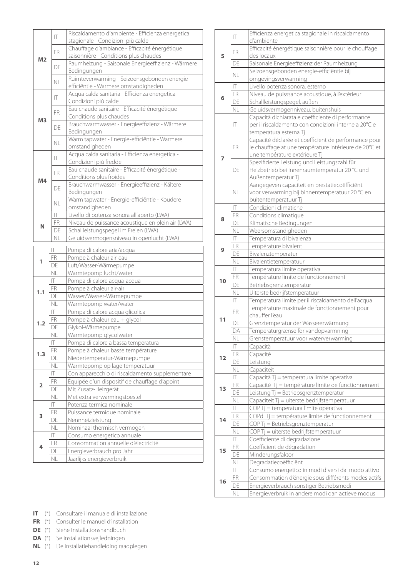|                         | IT                        | Riscaldamento d'ambiente - Efficienza energetica                        |
|-------------------------|---------------------------|-------------------------------------------------------------------------|
|                         |                           | stagionale - Condizioni più calde                                       |
|                         | <b>FR</b>                 | Chauffage d'ambiance - Efficacité énergétique                           |
| M2                      |                           | saisonnière - Conditions plus chaudes                                   |
|                         | DF                        | Raumheizung - Saisonale Energieeffizienz - Wärmere                      |
|                         |                           | Bedingungen                                                             |
|                         | NL                        | Ruimteverwarming - Seizoensgebonden energie-                            |
|                         |                           | efficiëntie - Warmere omstandigheden                                    |
|                         | IT                        | Acqua calda sanitaria - Efficienza energetica -                         |
| M <sub>3</sub>          |                           | Condizioni più calde<br>Eau chaude sanitaire - Efficacité énergétique - |
|                         | <b>FR</b>                 | Conditions plus chaudes                                                 |
|                         |                           | Brauchwarmwasser - Energieeffizienz - Wärmere                           |
|                         | DE                        | Bedingungen                                                             |
|                         |                           | Warm tapwater - Energie-efficiëntie - Warmere                           |
|                         | <b>NL</b>                 | omstandigheden                                                          |
|                         |                           | Acqua calda sanitaria - Efficienza energetica -                         |
|                         | IT                        | Condizioni più fredde                                                   |
|                         |                           | Eau chaude sanitaire - Efficacité énergétique -                         |
|                         | <b>FR</b>                 | Conditions plus froides                                                 |
| M4                      |                           | Brauchwarmwasser - Energieeffizienz - Kältere                           |
|                         | DE                        | Bedingungen                                                             |
|                         | NL                        | Warm tapwater - Energie-efficiëntie - Koudere                           |
|                         |                           | omstandigheden                                                          |
|                         | $\mathsf{I}$              | Livello di potenza sonora all'aperto (LWA)                              |
| N                       | <b>FR</b>                 | Niveau de puissance acoustique en plein air (LWA)                       |
|                         | DE                        | Schallleistungspegel im Freien (LWA)                                    |
|                         | <b>NL</b>                 | Geluidsvermogensniveau in openlucht (LWA)                               |
|                         |                           |                                                                         |
|                         | $ \top$                   |                                                                         |
|                         | FR                        | Pompa di calore aria/acqua<br>Pompe à chaleur air-eau                   |
| 1                       | DE                        | Luft/Wasser-Wärmepumpe                                                  |
|                         | <b>NL</b>                 | Warmtepomp lucht/water                                                  |
|                         | $ \top$                   | Pompa di calore acqua-acqua                                             |
|                         | FR                        | Pompe à chaleur air-air                                                 |
| 1.1                     | DE                        | Wasser/Wasser-Wärmepumpe                                                |
|                         | NL                        | Warmtepomp water/water                                                  |
|                         | $ \top$                   | Pompa di calore acqua glicolica                                         |
|                         | FR                        | Pompe à chaleur eau + glycol                                            |
| 1.2                     | DE                        | Glykol-Wärmepumpe                                                       |
|                         | NL                        | Warmtepomp glycolwater                                                  |
|                         | $ \top$                   | Pompa di calore a bassa temperatura                                     |
| 1.3                     | FR                        | Pompe à chaleur basse température                                       |
|                         | DE                        | Niedertemperatur-Wärmepumpe                                             |
|                         | NL                        | Warmtepomp op lage temperatuur                                          |
|                         | $\mathsf{I}\mathsf{T}$    | Con apparecchio di riscaldamento supplementare                          |
| $\overline{\mathbf{2}}$ | FR                        | Équipée d'un dispositif de chauffage d'apoint                           |
|                         | DE                        | Mit Zusatz-Heizgerät                                                    |
|                         | NL                        | Met extra verwarmingstoestel                                            |
|                         | $\mathsf{I} \mathsf{T}$   | Potenza termica nominale                                                |
| 3                       | FR                        | Puissance termique nominale                                             |
|                         | DE                        | Nennheizleistung                                                        |
|                         | <b>NL</b><br>$\mathsf{I}$ | Nominaal thermisch vermogen                                             |
|                         |                           | Consumo energetico annuale                                              |
| 4                       | FR<br>DE                  | Consommation annuelle d'électricité<br>Energieverbrauch pro Jahr        |

|    | IT.                     | Efficienza energetica stagionale in riscaldamento<br>d'ambiente                    |
|----|-------------------------|------------------------------------------------------------------------------------|
|    |                         |                                                                                    |
|    | FR.                     | Efficacité énergétique saisonnière pour le chouffage                               |
| 5  |                         | des locaux                                                                         |
|    | DE                      | Saisonale Energieeffizienz der Raumheizung                                         |
|    | <b>NL</b>               | Seizoensgebonden energie-efficiëntie bij                                           |
|    |                         | omgevingsverwarming                                                                |
|    | $\mathsf{I} \mathsf{T}$ | Livello potenza sonora, esterno                                                    |
| 6  | FR                      | Niveau de puisssance acoustique, à l'extérieur                                     |
|    | DE                      | Schallleistungspegel, außen                                                        |
|    | <b>NL</b>               | Geluidsvermogenniveau, buitenshuis                                                 |
|    |                         | Capacità dichiarata e coefficiente di performance                                  |
|    | IT                      | per il riscaldamento con condizioni interne a 20°C e                               |
|    |                         | temperatura esterna Tj                                                             |
|    |                         | Capacité déclarée et coefficient de performance pour                               |
|    | <b>FR</b>               | le chauffage at une température intérieure de 20°C et                              |
|    |                         | une température extérieure Tj                                                      |
| 7  |                         | Spezifizierte Leistung und Leistungszahl für                                       |
|    | DF                      | Heizbetrieb bei Innenraumtemperatur 20 °C und                                      |
|    |                         | Außentemperatur Tj                                                                 |
|    |                         | Aangegeven capaciteit en prestatiecoëfficiënt                                      |
|    | <b>NL</b>               | voor verwarming bij binnentemperatuur 20 °C en                                     |
|    |                         | buitentemperatuur Tj                                                               |
|    | IT                      | Condizioni climatiche                                                              |
| 8  | FR                      | Conditions climatique                                                              |
|    | DE                      | Klimatische Bedingungen                                                            |
|    | <b>NL</b>               | Weersomstandigheden                                                                |
|    | $ \top$                 | Temperatura di bivalenza                                                           |
|    | FR                      | Température bivalent                                                               |
| 9  | DE                      | Bivalenztemperatur                                                                 |
|    | NL                      |                                                                                    |
|    | $\mathsf{I}$            | Bivalentietemperatuur                                                              |
|    |                         | Temperatura limite operativa                                                       |
| 10 | FR<br>DE                | Température limite de functionnement                                               |
|    | <b>NL</b>               | Betriebsgrenztemperatur                                                            |
|    | $\mathsf{I}$            | Uiterste bedrijfstemperatuur<br>Temperatura limite per il riscaldamento dell'acqua |
|    |                         | Température maximale de fonctionnement pour                                        |
|    | <b>FR</b>               |                                                                                    |
| 11 |                         | chauffer l'eau                                                                     |
|    | DE                      | Grenztemperatur der Wassererwärmung                                                |
|    | DA                      | Temperaturgrænse for vandopvarmning                                                |
|    | NL                      | Grenstemperatuur voor waterverwarming                                              |
|    | IΤ                      | Capacità                                                                           |
| 12 | FR                      | Capacité                                                                           |
|    | DE                      | Leistung                                                                           |
|    | NL                      | Capaciteit                                                                         |
|    | $ \top$                 | Capacità Tj = temperatura limite operativa                                         |
| 13 | FR                      | Capacité Tj = température limite de functionnement                                 |
|    | DE                      | Leistung Tj = Betriebsgrenztemperatur                                              |
|    | NL                      | Capaciteit Tj = uiterste bedrijfstemperatuur                                       |
|    | IT                      | COP Tj = temperatura limite operativa                                              |
| 14 | FR                      | COPd Tj = température limite de functionnement                                     |
|    | DE                      | $COP$ Tj = Betriebsgrenztemperatur                                                 |
|    | NL                      | COP Tj = uiterste bedrijfstemperatuur                                              |
|    | $ \top$                 | Coefficiente di degradazione                                                       |
|    | <b>FR</b>               | Coefficient de dégradation                                                         |
| 15 | DE                      | Minderungsfaktor                                                                   |
|    | NL                      | Degradatiecoëfficiënt                                                              |
|    | IT                      | Consumo energetico in modi diversi dal modo attivo                                 |
|    | FR                      | Consommation d'énergie sous différents modes actifs                                |
| 16 | DE                      | Energieverbrauch sonstiger Betriebsmodi                                            |
|    | NL                      | Energieverbruik in andere modi dan actieve modus                                   |
|    |                         |                                                                                    |

**IT** (\*) Consultare il manuale di installazione

**FR** (\*) Consulter le manuel d'installation

**DE** (\*) Siehe Installationshandbuch

**DA** (\*) Se installationsvejledningen

**NL** (\*) De installatiehandleiding raadplegen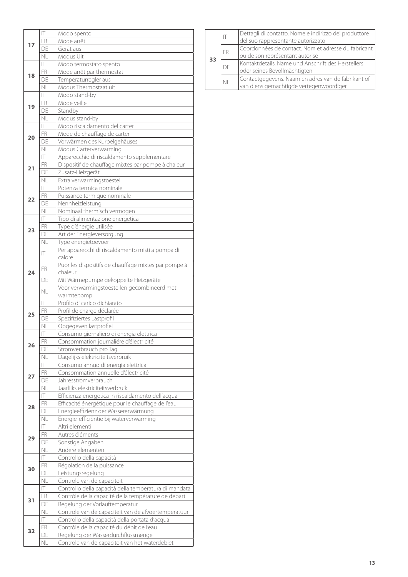|    | $\overline{\mathsf{T}}$ | Modo spento                                                                     |
|----|-------------------------|---------------------------------------------------------------------------------|
|    | FR                      | Mode arrêt                                                                      |
| 17 | DE                      | Gerät aus                                                                       |
|    | <b>NL</b>               | Modus Uit                                                                       |
|    | $ \top$                 | Modo termostato spento                                                          |
|    | FR                      | Mode arrêt par thermostat                                                       |
| 18 | DE                      | Temperaturregler aus                                                            |
|    | <b>NL</b>               | Modus Thermostaat uit                                                           |
|    | $\mathbb T$             | Modo stand-by                                                                   |
|    | <b>FR</b>               | Mode veille                                                                     |
| 19 | DE                      | Standby                                                                         |
|    | <b>NL</b>               | Modus stand-by                                                                  |
|    | $\mathsf{I}$            | Modo riscaldamento del carter                                                   |
|    | FR                      | Mode de chauffage de carter                                                     |
| 20 | DE                      | Vorwärmen des Kurbelgehäuses                                                    |
|    | <b>NL</b>               | Modus Carterverwarming                                                          |
|    | $\mathsf{I}$            | Apparecchio di riscaldamento supplementare                                      |
|    | FR                      | Dispositif de chauffage mixtes par pompe à chaleur                              |
| 21 | DF                      | Zusatz-Heizgerät                                                                |
|    | <b>NL</b>               | Extra verwarmingstoestel                                                        |
|    | IT                      | Potenza termica nominale                                                        |
|    | <b>FR</b>               |                                                                                 |
| 22 | DE                      | Puissance termique nominale                                                     |
|    | <b>NL</b>               | Nennheizleistung                                                                |
|    | $\mathsf{I} \mathsf{T}$ | Nominaal thermisch vermogen                                                     |
|    |                         | Tipo di alimentazione energetica                                                |
| 23 | FR                      | Type d'énergie utilisée                                                         |
|    | DE                      | Art der Energieversorgung                                                       |
|    | <b>NL</b>               | Type energietoevoer                                                             |
|    | IT                      | Per apparecchi di riscaldamento misti a pompa di                                |
|    |                         | calore                                                                          |
|    | FR.                     | Puor les dispositifs de chauffage mixtes par pompe à                            |
| 24 |                         | chaleur                                                                         |
|    | DE                      | Mit Wärmepumpe gekoppelte Heizgeräte                                            |
|    | <b>NL</b>               | Voor verwarmingstoestellen gecombineerd met                                     |
|    |                         | warmtepomp                                                                      |
|    | $\mathsf{I} \mathsf{T}$ | Profilo di carico dichiarato                                                    |
|    |                         |                                                                                 |
| 25 | FR                      | Profil de charge déclarée                                                       |
|    | DE                      | Spezifiziertes Lastprofil                                                       |
|    | <b>NL</b>               | Opgegeven lastprofiel                                                           |
|    | IT                      | Consumo giornaliero di energia elettrica                                        |
| 26 | FR                      | Consommation journaliére d'électricité                                          |
|    | DE                      | Stromverbrauch pro Tag                                                          |
|    | NL                      | Dagelijks elektriciteitsverbruik                                                |
|    | $\mathsf{I}$            | Consumo annuo di energia elettrica                                              |
| 27 | FR                      | Consommation annuelle d'électricité                                             |
|    | DE                      | Jahresstromverbrauch                                                            |
|    | <b>NL</b>               | Jaarlijks elektriciteitsverbruik                                                |
|    | $ \top$                 | Efficienza energetica in riscaldamento dell'acqua                               |
| 28 | FR                      | Efficacité énergétique pour le chauffage de l'eau                               |
|    | DE                      | Energieeffizienz der Wassererwärmung                                            |
|    | <b>NL</b>               | Energie-efficiëntie bij waterverwarming                                         |
|    | $ \top$                 | Altri elementi                                                                  |
|    | FR                      | Autres éléments                                                                 |
| 29 | DE                      | Sonstige Angaben                                                                |
|    | <b>NL</b>               | Andere elementen                                                                |
|    | $ \top\>$               | Controllo della capacità                                                        |
|    | FR                      | Régolation de la puissance                                                      |
| 30 | DE                      | Leistungsregelung                                                               |
|    | NL                      | Controle van de capaciteit                                                      |
|    | $ \top$                 | Controllo della capacità della temperatura di mandata                           |
|    | FR                      | Contrôle de la capacité de la température de départ                             |
| 31 | DE                      | Regelung der Vorlauftemperatur                                                  |
|    | NL                      |                                                                                 |
|    | $\mathsf{I}\mathsf{T}$  | Controle van de capaciteit van de afvoertemperatuur                             |
|    |                         | Controllo della capacità della portata d'acqua                                  |
| 32 | FR<br>DE                | Contrôle de la capacité du débit de l'eau<br>Regelung der Wasserdurchflussmenge |

|           |  |     | Dettagli di contatto. Nome e indirizzo del produttore |
|-----------|--|-----|-------------------------------------------------------|
|           |  |     | del suo rappresentante autorizzato                    |
| <b>FR</b> |  |     | Coordonnées de contact. Nom et adresse du fabricant   |
|           |  |     | ou de son représentant autorisé                       |
|           |  | DF. | Kontaktdetails. Name und Anschrift des Herstellers    |
|           |  |     | oder seines Bevollmächtigten                          |
|           |  |     | Contactgegevens. Naam en adres van de fabrikant of    |
|           |  |     | van diens gemachtigde vertegenwoordiger               |
|           |  | 33  | N <sub>1</sub>                                        |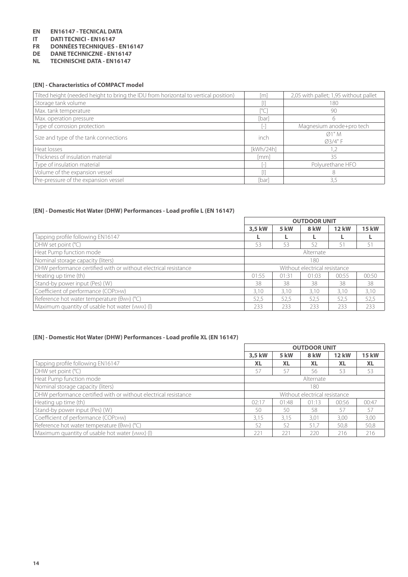# **EN EN16147 - TECNICAL DATA**

- **IDATI TECNICI EN16147**
- **FR DONNÉES TECHNIQUES EN16147**
- **DE DANE TECHNICZNE EN16147**
- **NL TECHNISCHE DATA EN16147**

#### **[EN] - Characteristics of COMPACT model**

| Tilted height (needed height to bring the IDU from horizontal to vertical position) | ml                 | 2,05 with pallet; 1,95 without pallet |
|-------------------------------------------------------------------------------------|--------------------|---------------------------------------|
| Storage tank volume                                                                 |                    | 180                                   |
| Max. tank temperature                                                               |                    | 90                                    |
| Max. operation pressure                                                             | [bar]              | 6                                     |
| Type of corrosion protection                                                        |                    | Magnesium anode+pro tech              |
|                                                                                     | inch               | Ø1"M                                  |
| Size and type of the tank connections                                               |                    | Ø3/4" F                               |
| Heat losses                                                                         | [kWh/24h]          | 1,2                                   |
| Thickness of insulation material                                                    | $\lceil mm \rceil$ | 35                                    |
| Type of insulation material                                                         |                    | Polyurethane HFO                      |
| Volume of the expansion vessel                                                      |                    | 8                                     |
| Pre-pressure of the expansion vessel                                                | [bar]              | 3,5                                   |

#### **[EN] - Domestic Hot Water (DHW) Performances - Load profile L (EN 16147)**

|                                                                 | <b>OUTDOOR UNIT</b>                  |      |                               |              |              |
|-----------------------------------------------------------------|--------------------------------------|------|-------------------------------|--------------|--------------|
|                                                                 | 3,5 kW                               | 5 kW | 8 kW                          | <b>12 kW</b> | <b>15 kW</b> |
| Tapping profile following EN16147                               |                                      |      |                               |              |              |
| DHW set point $(^{\circ}C)$                                     | 53                                   | 53   | 52                            | 51           | 51           |
| Heat Pump function mode                                         | Alternate                            |      |                               |              |              |
| Nominal storage capacity (liters)                               | 180                                  |      |                               |              |              |
| DHW performance certified with or without electrical resistance |                                      |      | Without electrical resistance |              |              |
| Heating up time (th)                                            | 01:55<br>01:31<br>00:55<br>01:03     |      |                               | 00:50        |              |
| Stand-by power input (Pes) (W)                                  | 38                                   | 38   | 38                            | 38           | 38           |
| Coefficient of performance (СОРрнw)                             | 3,10<br>3,10<br>3.10<br>3.10<br>3,10 |      |                               |              |              |
| Reference hot water temperature (θwH) (°C)                      | 52,5                                 | 52,5 | 52,5                          | 52,5         | 52,5         |
| Maximum quantity of usable hot water (VMAX) (I)                 | 233                                  | 233  | 233                           | 233          | 233          |

#### **[EN] - Domestic Hot Water (DHW) Performances - Load profile XL (EN 16147)**

| [EN] - Domestic Hot Water (DHW) Performances - Load profile XL (EN 16147) |                                      |           |                               |              |              |
|---------------------------------------------------------------------------|--------------------------------------|-----------|-------------------------------|--------------|--------------|
|                                                                           | <b>OUTDOOR UNIT</b>                  |           |                               |              |              |
|                                                                           | 3,5 kW                               | 5 kW      | 8 kW                          | <b>12 kW</b> | <b>15 kW</b> |
| Tapping profile following EN16147                                         | <b>XL</b>                            | <b>XL</b> | <b>XL</b>                     | <b>XL</b>    | <b>XL</b>    |
| DHW set point $(°C)$                                                      | 57                                   | 57        | 56                            | 53           | 53           |
| Heat Pump function mode                                                   | Alternate                            |           |                               |              |              |
| Nominal storage capacity (liters)                                         |                                      |           | 180                           |              |              |
| DHW performance certified with or without electrical resistance           |                                      |           | Without electrical resistance |              |              |
| Heating up time (th)                                                      | 02:17                                | 01:48     | 01:13                         | 00:56        | 00:47        |
| Stand-by power input (Pes) (W)                                            | 50                                   | 50        | 58                            | 57           | 57           |
| Coefficient of performance (СОРDНW)                                       | 3.15<br>3,00<br>3.15<br>3.01<br>3.00 |           |                               |              |              |
| Reference hot water temperature (OWH) (°C)                                | 52                                   | 52        | 51,7                          | 50.8         | 50,8         |
| Maximum quantity of usable hot water (VMAX) (I)                           | 221                                  | 221       | 220                           | 216          | 216          |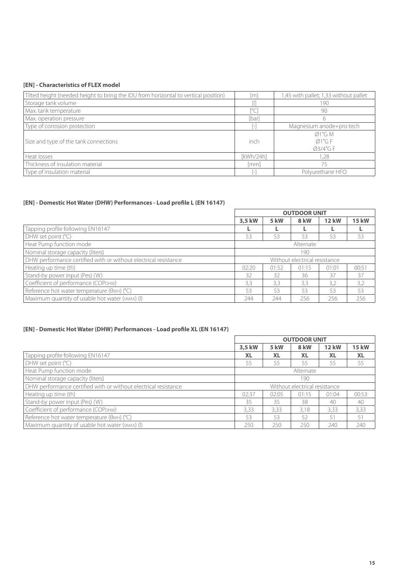#### **[EN] - Characteristics of FLEX model**

| Tilted height (needed height to bring the IDU from horizontal to vertical position) | [m]       | 1,45 with pallet; 1,33 without pallet |
|-------------------------------------------------------------------------------------|-----------|---------------------------------------|
| Storage tank volume                                                                 |           | 190                                   |
| Max. tank temperature                                                               |           | 90                                    |
| Max. operation pressure                                                             | [bar]     |                                       |
| Type of corrosion protection                                                        |           | Magnesium anode+pro tech              |
|                                                                                     |           | Ø1''G M                               |
| Size and type of the tank connections                                               | inch      | Ø1''G F                               |
|                                                                                     |           | Ø3/4"G F                              |
| Heat losses                                                                         | [kWh/24h] | 1.28                                  |
| Thickness of insulation material                                                    | [mm]      | 75                                    |
| Type of insulation material                                                         |           | Polyurethane HFO                      |

#### **[EN] - Domestic Hot Water (DHW) Performances - Load profile L (EN 16147)**

|                                                                 | <b>OUTDOOR UNIT</b>                       |      |      |              |              |
|-----------------------------------------------------------------|-------------------------------------------|------|------|--------------|--------------|
|                                                                 | 3,5 kW                                    | 5 kW | 8 kW | <b>12 kW</b> | <b>15 kW</b> |
| Tapping profile following EN16147                               |                                           |      |      |              |              |
| DHW set point $(°C)$                                            | 53                                        | 53   | 53   | 53           | 53           |
| Heat Pump function mode                                         | Alternate                                 |      |      |              |              |
| Nominal storage capacity (liters)                               | 190                                       |      |      |              |              |
| DHW performance certified with or without electrical resistance | Without electrical resistance             |      |      |              |              |
| Heating up time (th)                                            | 00:51<br>01:52<br>02:20<br>01:15<br>01:01 |      |      |              |              |
| Stand-by power input (Pes) (W)                                  | 32                                        | 32   | 36   | 37           | 37           |
| Coefficient of performance (СОРDНW)                             | 3,2<br>3,3<br>3,3<br>3.2<br>3.3           |      |      |              |              |
| Reference hot water temperature (OWH) (°C)                      | 53                                        | 53   | 53   | 53           | 53           |
| Maximum quantity of usable hot water (VMAX) (I)                 | 244                                       | 244  | 256  | 256          | 256          |

#### **[EN] - Domestic Hot Water (DHW) Performances - Load profile XL (EN 16147)**

|                                                                 | <b>OUTDOOR UNIT</b>                  |           |                               |              |              |
|-----------------------------------------------------------------|--------------------------------------|-----------|-------------------------------|--------------|--------------|
|                                                                 | 3,5 kW                               | 5 kW      | 8 kW                          | <b>12 kW</b> | <b>15 kW</b> |
| Tapping profile following EN16147                               | <b>XL</b>                            | <b>XL</b> | <b>XL</b>                     | <b>XL</b>    | <b>XL</b>    |
| DHW set point (°C)                                              | 55                                   | 55        | 55                            | 55           | 55           |
| Heat Pump function mode                                         | Alternate                            |           |                               |              |              |
| Nominal storage capacity (liters)                               | 190                                  |           |                               |              |              |
| DHW performance certified with or without electrical resistance |                                      |           | Without electrical resistance |              |              |
| Heating up time (th)                                            | 02:37                                | 02:05     | 01:15                         | 01:04        | 00:53        |
| Stand-by power input (Pes) (W)                                  | 35                                   | 35        | 38                            | 40           | 40           |
| Coefficient of performance (COPDHW)                             | 3,33<br>3.33<br>3.33<br>3,33<br>3.18 |           |                               |              |              |
| Reference hot water temperature ( $\theta$ wH) ( $\degree$ C)   | 53                                   | 53        | 52                            | 51           | 51           |
| Maximum quantity of usable hot water (VMAX) (I)                 | 250                                  | 250       | 250                           | 240          | 240          |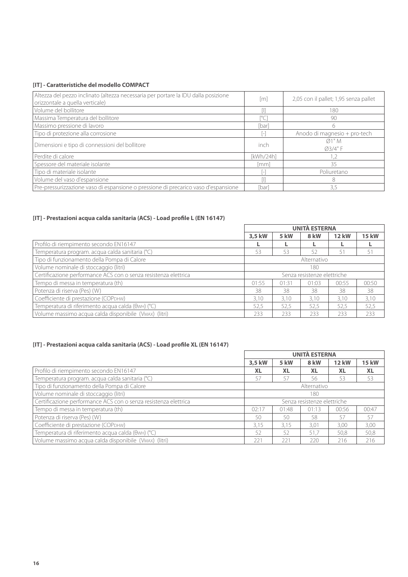#### **[IT] - Caratteristiche del modello COMPACT**

| Altezza del pezzo inclinato (altezza necessaria per portare la IDU dalla posizione<br>orizzontale a quella verticale) | $\lceil m \rceil$  | 2,05 con il pallet; 1,95 senza pallet |
|-----------------------------------------------------------------------------------------------------------------------|--------------------|---------------------------------------|
| Volume del bollitore                                                                                                  |                    | 180                                   |
| Massima Temperatura del bollitore                                                                                     | r°Ci               | 90                                    |
| Massimo pressione di lavoro                                                                                           | [bar]              | 6                                     |
| Tipo di protezione alla corrosione                                                                                    |                    | Anodo di magnesio + pro-tech          |
| Dimensioni e tipo di connessioni del bollitore                                                                        | inch               | Ø1"M<br>Ø3/4"F                        |
| Perdite di calore                                                                                                     | [kWh/24h]          | 1.2                                   |
| Spessore del materiale isolante                                                                                       | $\lceil mm \rceil$ | 35                                    |
| Tipo di materiale isolante                                                                                            |                    | Poliuretano                           |
| Volume del vaso d'espansione                                                                                          |                    | 8                                     |
| Pre-pressurizzazione vaso di espansione o pressione di precarico vaso d'espansione                                    | [bar]              | 3,5                                   |

#### **[IT] - Prestazioni acqua calda sanitaria (ACS) - Load profile L (EN 16147)**

|                                                                 | <b>UNITÀ ESTERNA</b>                 |      |                             |              |              |
|-----------------------------------------------------------------|--------------------------------------|------|-----------------------------|--------------|--------------|
|                                                                 | 3,5 kW                               | 5 kW | 8 kW                        | <b>12 kW</b> | <b>15 kW</b> |
| Profilo di riempimento secondo EN16147                          |                                      |      |                             |              |              |
| Temperatura program. acqua calda sanitaria (°C)                 | 53                                   | 53   | 52                          | 51           | 51           |
| Tipo di funzionamento della Pompa di Calore                     | Alternativo                          |      |                             |              |              |
| Volume nominale di stoccaggio (litri)                           | 180                                  |      |                             |              |              |
| Certificazione performance ACS con o senza resistenza elettrica |                                      |      | Senza resistenze elettriche |              |              |
| Tempo di messa in temperatura (th)                              | 01:55<br>01:31<br>01:03<br>00:55     |      |                             |              | 00:50        |
| Potenza di riserva (Pes) (W)                                    | 38<br>38<br>38<br>38<br>38           |      |                             |              |              |
| Coefficiente di prestazione (СОРрнw)                            | 3,10<br>3.10<br>3,10<br>3.10<br>3,10 |      |                             |              |              |
| Temperatura di riferimento acqua calda (θwH) (°C)               | 52,5                                 | 52.5 | 52,5                        | 52,5         | 52,5         |
| Volume massimo acqua calda disponibile (VMAX) (litri)           | 233                                  | 233  | 233                         | 233          | 233          |

## **[IT] - Prestazioni acqua calda sanitaria (ACS) - Load profile XL (EN 16147)**

|                                                                 | <b>UNITÀ ESTERNA</b>                 |           |                             |              |              |
|-----------------------------------------------------------------|--------------------------------------|-----------|-----------------------------|--------------|--------------|
|                                                                 | 3.5 kW                               | 5 kW      | 8 kW                        | <b>12 kW</b> | <b>15 kW</b> |
| Profilo di riempimento secondo EN16147                          | <b>XL</b>                            | <b>XL</b> | <b>XL</b>                   | <b>XL</b>    | <b>XL</b>    |
| Temperatura program. acqua calda sanitaria (°C)                 | 57                                   | 57        | 56                          | 53           | 53           |
| Tipo di funzionamento della Pompa di Calore                     | Alternativo                          |           |                             |              |              |
| Volume nominale di stoccaggio (litri)                           | 180                                  |           |                             |              |              |
| Certificazione performance ACS con o senza resistenza elettrica |                                      |           | Senza resistenze elettriche |              |              |
| Tempo di messa in temperatura (th)                              | 02:17<br>01:48<br>01:13<br>00:56     |           |                             |              | 00:47        |
| Potenza di riserva (Pes) (W)                                    | 57<br>58<br>50<br>50<br>57           |           |                             |              |              |
| Coefficiente di prestazione (COPDHW)                            | 3,00<br>3.15<br>3.15<br>3,01<br>3,00 |           |                             |              |              |
| Temperatura di riferimento acqua calda (θwH) (°C)               | 52                                   | 52        | 51.7                        | 50.8         | 50,8         |
| Volume massimo acqua calda disponibile (VMAX) (litri)           | 221                                  | 221       | 220                         | 216          | 216          |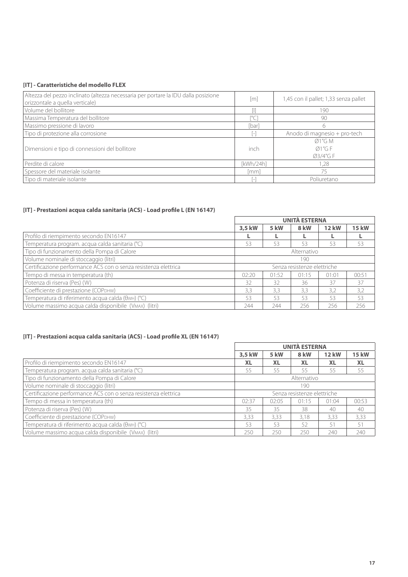#### **[IT] - Caratteristiche del modello FLEX**

| Altezza del pezzo inclinato (altezza necessaria per portare la IDU dalla posizione<br>orizzontale a quella verticale) | [m]       | 1,45 con il pallet; 1,33 senza pallet    |
|-----------------------------------------------------------------------------------------------------------------------|-----------|------------------------------------------|
| Volume del bollitore                                                                                                  |           | 190                                      |
| Massima Temperatura del bollitore                                                                                     |           | 90                                       |
| Massimo pressione di lavoro                                                                                           | [bar]     | 6                                        |
| Tipo di protezione alla corrosione                                                                                    |           | Anodo di magnesio + pro-tech             |
| Dimensioni e tipo di connessioni del bollitore                                                                        | inch      | $\emptyset$ 1"G M<br>Ø1''G F<br>Ø3/4"G F |
| Perdite di calore                                                                                                     | [kWh/24h] | 1.28                                     |
| Spessore del materiale isolante                                                                                       | [mm]      | 75                                       |
| Tipo di materiale isolante                                                                                            |           | Poliuretano                              |

#### **[IT] - Prestazioni acqua calda sanitaria (ACS) - Load profile L (EN 16147)**

|                                                                 | <b>UNITÀ ESTERNA</b> |       |                             |              |              |
|-----------------------------------------------------------------|----------------------|-------|-----------------------------|--------------|--------------|
|                                                                 | 3.5 kW               | 5 kW  | 8 kW                        | <b>12 kW</b> | <b>15 kW</b> |
| Profilo di riempimento secondo EN16147                          |                      |       |                             |              |              |
| Temperatura program. acqua calda sanitaria (°C)                 | 53                   | 53    | 53                          | 53           | 53           |
| Tipo di funzionamento della Pompa di Calore                     | Alternativo          |       |                             |              |              |
| Volume nominale di stoccaggio (litri)                           | 190                  |       |                             |              |              |
| Certificazione performance ACS con o senza resistenza elettrica |                      |       | Senza resistenze elettriche |              |              |
| Tempo di messa in temperatura (th)                              | 02:20                | 01:52 | 01:15                       | 01:01        | 00:51        |
| Potenza di riserva (Pes) (W)                                    | 32                   | 32    | 36                          | 37           | 37           |
| Coefficiente di prestazione (СОРDНW)                            | 3,3                  | 3,3   | 3,3                         | 3,2          | 3,2          |
| Temperatura di riferimento acqua calda (θwH) (°C)               | 53                   | 53    | 53                          | 53           | 53           |
| Volume massimo acqua calda disponibile (VMAX) (litri)           | 244                  | 244   | 256                         | 256          | 256          |

## **[IT] - Prestazioni acqua calda sanitaria (ACS) - Load profile XL (EN 16147)**

|                                                                 | <b>UNITÀ ESTERNA</b> |           |                             |              |              |
|-----------------------------------------------------------------|----------------------|-----------|-----------------------------|--------------|--------------|
|                                                                 | 3.5 kW               | 5 kW      | 8 kW                        | <b>12 kW</b> | <b>15 kW</b> |
| Profilo di riempimento secondo EN16147                          | <b>XL</b>            | <b>XL</b> | <b>XL</b>                   | <b>XL</b>    | <b>XL</b>    |
| Temperatura program. acqua calda sanitaria (°C)                 | 55                   | 55        | 55                          | 55           | 55           |
| Tipo di funzionamento della Pompa di Calore                     | Alternativo          |           |                             |              |              |
| Volume nominale di stoccaggio (litri)                           | 190                  |           |                             |              |              |
| Certificazione performance ACS con o senza resistenza elettrica |                      |           | Senza resistenze elettriche |              |              |
| Tempo di messa in temperatura (th)                              | 02:37                | 02:05     | 01:15                       | 01:04        | 00:53        |
| Potenza di riserva (Pes) (W)                                    | 35                   | 35        | 38                          | 40           | 40           |
| Coefficiente di prestazione (СОРрнw)                            | 3.33                 | 3.33      | 3.18                        | 3.33         | 3,33         |
| Temperatura di riferimento acqua calda (θwH) (°C)               | 53                   | 53        | 52                          | 51           | 51           |
| Volume massimo acqua calda disponibile (VMAX) (litri)           | 250                  | 250       | 250                         | 240          | 240          |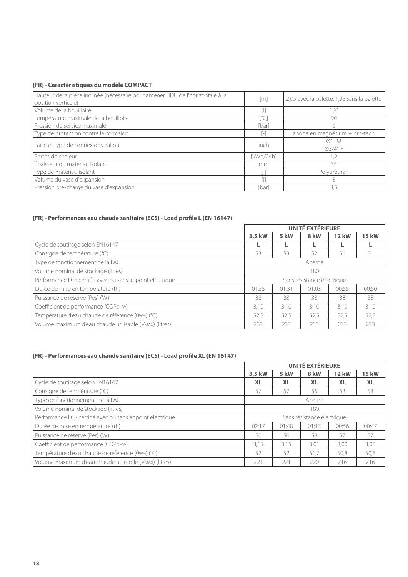## **[FR] - Caractéristiques du modèle COMPACT**

| Hauteur de la pièce inclinée (nécessaire pour amener l'IDU de l'horizontale à la<br>position verticale) | [m]           | 2,05 avec la palette; 1,95 sans la palette |
|---------------------------------------------------------------------------------------------------------|---------------|--------------------------------------------|
| Volume de la bouilloire                                                                                 |               | 180                                        |
| Température maximale de la bouilloire                                                                   | $[^{\circ}C]$ | 90                                         |
| Pression de service maximale                                                                            | [bar]         | 6                                          |
| Type de protection contre la corrosion                                                                  |               | anode en magnésium + pro-tech              |
| Taille et type de connexions Ballon                                                                     | inch          | Ø1"M<br>Ø3/4" F                            |
| Pertes de chaleur                                                                                       | [kWh/24h]     | 1,2                                        |
| Épaisseur du matériau isolant                                                                           | [mm]          | 35                                         |
| Type de matériau isolant                                                                                |               | Polyurethan                                |
| Volume du vase d'expansion                                                                              |               | 8                                          |
| Pression pré-charge du vase d'expansion                                                                 | [bar]         | 3,5                                        |

#### **[FR] - Performances eau chaude sanitaire (ECS) - Load profile L (EN 16147)**

|                                                          | UNITÉ EXTÉRIEURE |       |                            |              |              |
|----------------------------------------------------------|------------------|-------|----------------------------|--------------|--------------|
|                                                          | 3,5 kW           | 5 kW  | 8 kW                       | <b>12 kW</b> | <b>15 kW</b> |
| Cycle de soutirage selon EN16147                         |                  |       |                            |              |              |
| Consigne de température (°C)                             | 53               | 53    | 52                         | 51           | 51           |
| Type de fonctionnement de la PAC                         | Alterné          |       |                            |              |              |
| Volume nominal de stockage (litres)                      | 180              |       |                            |              |              |
| Performance ECS certifié avec ou sans appoint électrique |                  |       | Sans résistance électrique |              |              |
| Durée de mise en température (th)                        | 01:55            | 01:31 | 01:03                      | 00:55        | 00:50        |
| Puissance de réserve (Pes) (W)                           | 38               | 38    | 38                         | 38           | 38           |
| Coefficient de performance (СОРDНW)                      | 3.10             | 3.10  | 3.10                       | 3,10         | 3,10         |
| Température d'eau chaude de référence (θwн) (°C)         | 52,5             | 52,5  | 52,5                       | 52,5         | 52,5         |
| Volume maximum d'eau chaude utilisable (VMAX) (litres)   | 233              | 233   | 233                        | 233          | 233          |

#### **[FR] - Performances eau chaude sanitaire (ECS) - Load profile XL (EN 16147)**

|                                                          | <b>UNITÉ EXTÉRIEURE</b> |           |                            |              |              |
|----------------------------------------------------------|-------------------------|-----------|----------------------------|--------------|--------------|
|                                                          | 3,5 kW                  | 5 kW      | 8 kW                       | <b>12 kW</b> | <b>15 kW</b> |
| Cycle de soutirage selon EN16147                         | <b>XL</b>               | <b>XL</b> | <b>XL</b>                  | <b>XL</b>    | <b>XL</b>    |
| Consigne de température (°C)                             | 57                      | 57        | 56                         | 53           | 53           |
| Type de fonctionnement de la PAC                         | Alterné                 |           |                            |              |              |
| Volume nominal de stockage (litres)                      | 180                     |           |                            |              |              |
| Performance ECS certifié avec ou sans appoint électrique |                         |           | Sans résistance électrique |              |              |
| Durée de mise en température (th)                        | 02:17                   | 01:48     | 01:13                      | 00:56        | 00:47        |
| Puissance de réserve (Pes) (W)                           | 50                      | 50        | 58                         | 57           | 57           |
| Coefficient de performance (COPDHW)                      | 3,15                    | 3.15      | 3,01                       | 3,00         | 3,00         |
| Température d'eau chaude de référence (θwн) (°C)         | 52                      | 52        | 51,7                       | 50.8         | 50,8         |
| Volume maximum d'eau chaude utilisable (VMAX) (litres)   | 221                     | 221       | 220                        | 216          | 216          |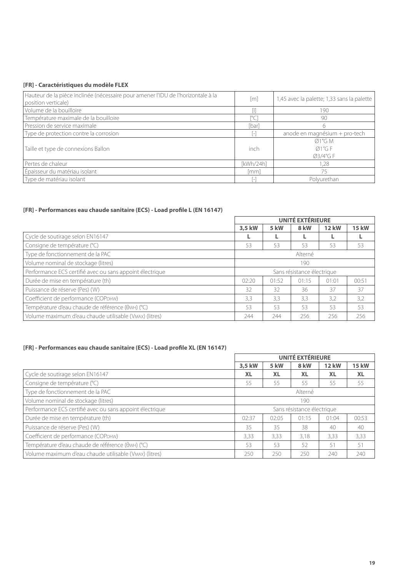## **[FR] - Caractéristiques du modèle FLEX**

| Hauteur de la pièce inclinée (nécessaire pour amener l'IDU de l'horizontale à la<br>position verticale) | $\lceil m \rceil$  | 1,45 avec la palette; 1,33 sans la palette |
|---------------------------------------------------------------------------------------------------------|--------------------|--------------------------------------------|
| Volume de la bouilloire                                                                                 |                    | 190                                        |
| Température maximale de la bouilloire                                                                   | $\lceil^{\circ}$ C | 90                                         |
| Pression de service maximale                                                                            | [bar]              | 6                                          |
| Type de protection contre la corrosion                                                                  |                    | anode en magnésium + pro-tech              |
| Taille et type de connexions Ballon                                                                     | inch               | $\emptyset$ 1"G M<br>Ø1''G F<br>Ø3/4"G F   |
| Pertes de chaleur                                                                                       | [kWh/24h]          | 1,28                                       |
| Épaisseur du matériau isolant                                                                           | [mm]               | 75                                         |
| Type de matériau isolant                                                                                |                    | Polyurethan                                |

## **[FR] - Performances eau chaude sanitaire (ECS) - Load profile L (EN 16147)**

|                                                          | <b>UNITÉ EXTÉRIEURE</b> |       |                            |              |              |
|----------------------------------------------------------|-------------------------|-------|----------------------------|--------------|--------------|
|                                                          | 3,5 kW                  | 5 kW  | 8 kW                       | <b>12 kW</b> | <b>15 kW</b> |
| Cycle de soutirage selon EN16147                         |                         |       |                            |              |              |
| Consigne de température (°C)                             | 53                      | 53    | 53                         | 53           | 53           |
| Type de fonctionnement de la PAC                         | Alterné                 |       |                            |              |              |
| Volume nominal de stockage (litres)                      | 190                     |       |                            |              |              |
| Performance ECS certifié avec ou sans appoint électrique |                         |       | Sans résistance électrique |              |              |
| Durée de mise en température (th)                        | 02:20                   | 01:52 | 01:15                      | 01:01        | 00:51        |
| Puissance de réserve (Pes) (W)                           | 32                      | 32    | 36                         | 37           | 37           |
| Coefficient de performance (COPDHW)                      | 3,3                     | 3,3   | 3,3                        | 3,2          | 3,2          |
| Température d'eau chaude de référence (θwH) (°C)         | 53                      | 53    | 53                         | 53           | 53           |
| Volume maximum d'eau chaude utilisable (VMAX) (litres)   | 244                     | 244   | 256                        | 256          | 256          |

## **[FR] - Performances eau chaude sanitaire (ECS) - Load profile XL (EN 16147)**

|                                                          | <b>UNITÉ EXTÉRIEURE</b> |           |                            |              |              |
|----------------------------------------------------------|-------------------------|-----------|----------------------------|--------------|--------------|
|                                                          | 3,5 kW                  | 5 kW      | 8 kW                       | <b>12 kW</b> | <b>15 kW</b> |
| Cycle de soutirage selon EN16147                         | <b>XL</b>               | <b>XL</b> | <b>XL</b>                  | <b>XL</b>    | <b>XL</b>    |
| Consigne de température (°C)                             | 55                      | 55        | 55                         | 55           | 55           |
| Type de fonctionnement de la PAC                         | Alterné                 |           |                            |              |              |
| Volume nominal de stockage (litres)                      | 190                     |           |                            |              |              |
| Performance ECS certifié avec ou sans appoint électrique |                         |           | Sans résistance électrique |              |              |
| Durée de mise en température (th)                        | 02:37                   | 02:05     | 01:15                      | 01:04        | 00:53        |
| Puissance de réserve (Pes) (W)                           | 35                      | 35        | 38                         | 40           | 40           |
| Coefficient de performance (COPDHW)                      | 3,33                    | 3.33      | 3.18                       | 3.33         | 3,33         |
| Température d'eau chaude de référence (θwH) (°C)         | 53                      | 53        | 52                         | 51           | 51           |
| Volume maximum d'eau chaude utilisable (VMAX) (litres)   | 250                     | 250       | 250                        | 240          | 240          |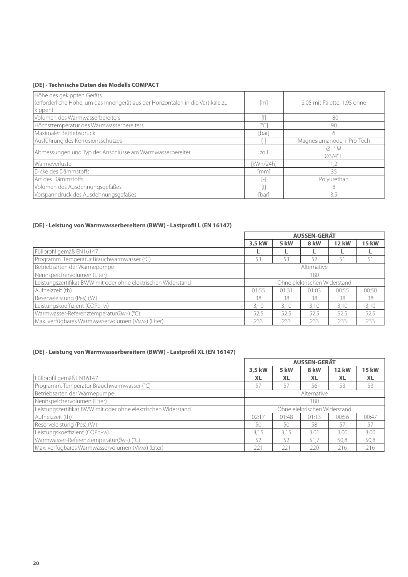#### **[DE] - Technische Daten des Modells COMPACT**

| Höhe des gekippten Geräts<br>(erforderliche Höhe, um das Innengerät aus der Horizontalen in die Vertikale zu<br>kippen) | $\lceil m \rceil$ | 2,05 mit Palette; 1,95 ohne |
|-------------------------------------------------------------------------------------------------------------------------|-------------------|-----------------------------|
| Volumen des Warmwasserbereiters                                                                                         |                   | 180                         |
| Höchsttemperatur des Warmwasserbereiters                                                                                |                   | 90                          |
| Maximaler Betriebsdruck                                                                                                 | [bar]             | 6                           |
| Ausführung des Korrosionsschutzes                                                                                       |                   | Magnesiumanode + Pro-Tech   |
| Abmessungen und Typ der Anschlüsse am Warmwasserbereiter                                                                | zoll              | Ø1" M<br>Ø3/4" F            |
| Wärmeverluste                                                                                                           | [kWh/24h]         | 1,2                         |
| Dicke des Dämmstoffs                                                                                                    | [mm]              | 35                          |
| Art des Dämmstoffs                                                                                                      |                   | Polyurethan                 |
| Volumen des Ausdehnungsgefäßes                                                                                          |                   | 8                           |
| Vorspanndruck des Ausdehnungsgefäßes                                                                                    | [bar]             | 3,5                         |

#### **[DE] - Leistung von Warmwasserbereitern (BWW) - Lastprofil L (EN 16147)**

|                                                               | <b>AUSSEN-GERÄT</b> |       |                              |              |              |
|---------------------------------------------------------------|---------------------|-------|------------------------------|--------------|--------------|
|                                                               | 3.5 kW              | 5 kW  | <b>8 kW</b>                  | <b>12 kW</b> | <b>15 kW</b> |
| Füllprofil gemäß EN16147                                      |                     |       |                              |              |              |
| Programm. Temperatur Brauchwarmwasser (°C)                    | 53                  | 53    | 52                           | 51           | 51           |
| Betriebsarten der Wärmepumpe                                  | Alternative         |       |                              |              |              |
| Nennspeichervolumen (Liter)                                   | 180                 |       |                              |              |              |
| Leistungszertifikat BWW mit oder ohne elektrischen Widerstand |                     |       | Ohne elektrischen Widerstand |              |              |
| Aufheizzeit (th)                                              | 01:55               | 01:31 | 01:03                        | 00:55        | 00:50        |
| Reserveleistung (Pes) (W)                                     | 38                  | 38    | 38                           | 38           | 38           |
| Leistungskoeffizient (COPDHW)                                 | 3.10                | 3.10  | 3.10                         | 3.10         | 3,10         |
| Warmwasser-Referenztemperatur(OwH) (°C)                       | 52,5                | 52,5  | 52,5                         | 52,5         | 52,5         |
| Max. verfügbares Warmwasservolumen (VMAX) (Liter)             | 233                 | 233   | 233                          | 233          | 233          |

## **[DE] - Leistung von Warmwasserbereitern (BWW) - Lastprofil XL (EN 16147)**

|                                                               | <b>AUSSEN-GERÄT</b> |           |                              |              |              |
|---------------------------------------------------------------|---------------------|-----------|------------------------------|--------------|--------------|
|                                                               | 3,5 kW              | 5 kW      | 8 kW                         | <b>12 kW</b> | <b>15 kW</b> |
| Füllprofil gemäß EN16147                                      | <b>XL</b>           | <b>XL</b> | <b>XL</b>                    | <b>XL</b>    | <b>XL</b>    |
| Programm. Temperatur Brauchwarmwasser (°C)                    | 57                  | 57        | 56                           | 53           | 53           |
| Betriebsarten der Wärmepumpe                                  | Alternative         |           |                              |              |              |
| Nennspeichervolumen (Liter)                                   | 180                 |           |                              |              |              |
| Leistungszertifikat BWW mit oder ohne elektrischen Widerstand |                     |           | Ohne elektrischen Widerstand |              |              |
| Aufheizzeit (th)                                              | 02:17               | 01:48     | 01:13                        | 00:56        | 00:47        |
| Reserveleistung (Pes) (W)                                     | 50                  | 50        | 58                           | 57           | 57           |
| Leistungskoeffizient (COPDHW)                                 | 3.15                | 3.15      | 3.01                         | 3.00         | 3,00         |
| Warmwasser-Referenztemperatur(OwH) (°C)                       | 52                  | 52        | 51.7                         | 50.8         | 50,8         |
| Max. verfügbares Warmwasservolumen (VMAX) (Liter)             | 221                 | 221       | 220                          | 216          | 216          |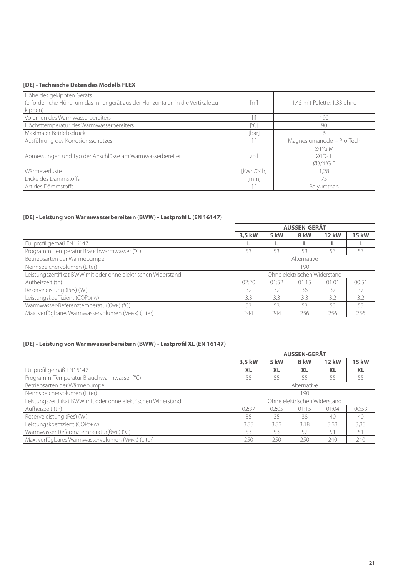#### **[DE] - Technische Daten des Modells FLEX**

| Höhe des gekippten Geräts<br>(erforderliche Höhe, um das Innengerät aus der Horizontalen in die Vertikale zu | [m]       | 1,45 mit Palette; 1,33 ohne |
|--------------------------------------------------------------------------------------------------------------|-----------|-----------------------------|
| kippen)                                                                                                      |           |                             |
| Volumen des Warmwasserbereiters                                                                              |           | 190                         |
| Höchsttemperatur des Warmwasserbereiters                                                                     |           | 90                          |
| Maximaler Betriebsdruck                                                                                      | [bar]     | 6                           |
| Ausführung des Korrosionsschutzes                                                                            |           | Magnesiumanode + Pro-Tech   |
|                                                                                                              |           | $\varnothing$ 1"G M         |
| Abmessungen und Typ der Anschlüsse am Warmwasserbereiter                                                     | zoll      | Ø1''G F                     |
|                                                                                                              |           | Ø3/4"G F                    |
| Wärmeverluste                                                                                                | [kWh/24h] | 1.28                        |
| Dicke des Dämmstoffs                                                                                         | [mm]      | 75                          |
| Art des Dämmstoffs                                                                                           |           | Polyurethan                 |

## **[DE] - Leistung von Warmwasserbereitern (BWW) - Lastprofil L (EN 16147)**

|                                                               | <b>AUSSEN-GERÄT</b>          |       |             |              |              |  |
|---------------------------------------------------------------|------------------------------|-------|-------------|--------------|--------------|--|
|                                                               | 3,5 kW                       | 5 kW  | <b>8 kW</b> | <b>12 kW</b> | <b>15 kW</b> |  |
| Füllprofil gemäß EN16147                                      |                              |       |             |              |              |  |
| Programm. Temperatur Brauchwarmwasser (°C)                    | 53                           | 53    | 53          | 53           | 53           |  |
| Betriebsarten der Wärmepumpe                                  | Alternative                  |       |             |              |              |  |
| Nennspeichervolumen (Liter)                                   | 190                          |       |             |              |              |  |
| Leistungszertifikat BWW mit oder ohne elektrischen Widerstand | Ohne elektrischen Widerstand |       |             |              |              |  |
| Aufheizzeit (th)                                              | 02:20                        | 01:52 | 01:15       | 01:01        | 00:51        |  |
| Reserveleistung (Pes) (W)                                     | 32                           | 32    | 36          | 37           | 37           |  |
| Leistungskoeffizient (COPDHW)                                 | 3,3                          | 3,3   | 3.3         | 3,2          | 3,2          |  |
| Warmwasser-Referenztemperatur(OwH) (°C)                       | 53                           | 53    | 53          | 53           | 53           |  |
| Max. verfügbares Warmwasservolumen (VMAX) (Liter)             | 244                          | 244   | 256         | 256          | 256          |  |

## **[DE] - Leistung von Warmwasserbereitern (BWW) - Lastprofil XL (EN 16147)**

|                                                               | <b>AUSSEN-GERÄT</b>          |           |           |              |              |  |
|---------------------------------------------------------------|------------------------------|-----------|-----------|--------------|--------------|--|
|                                                               | 3,5 kW                       | 5 kW      | 8 kW      | <b>12 kW</b> | <b>15 kW</b> |  |
| Füllprofil gemäß EN16147                                      | <b>XL</b>                    | <b>XL</b> | <b>XL</b> | <b>XL</b>    | <b>XL</b>    |  |
| Programm. Temperatur Brauchwarmwasser (°C)                    | 55                           | 55        | 55        | 55           | 55           |  |
| Betriebsarten der Wärmepumpe                                  | Alternative                  |           |           |              |              |  |
| Nennspeichervolumen (Liter)                                   | 190                          |           |           |              |              |  |
| Leistungszertifikat BWW mit oder ohne elektrischen Widerstand | Ohne elektrischen Widerstand |           |           |              |              |  |
| Aufheizzeit (th)                                              | 02:37                        | 02:05     | 01:15     | 01:04        | 00:53        |  |
| Reserveleistung (Pes) (W)                                     | 35                           | 35        | 38        | 40           | 40           |  |
| Leistungskoeffizient (COPDHW)                                 | 3,33                         | 3,33      | 3,18      | 3,33         | 3,33         |  |
| Warmwasser-Referenztemperatur(OwH) (°C)                       | 53                           | 53        | 52        | 51           | 51           |  |
| Max. verfügbares Warmwasservolumen (VMAX) (Liter)             | 250                          | 250       | 250       | 240          | 240          |  |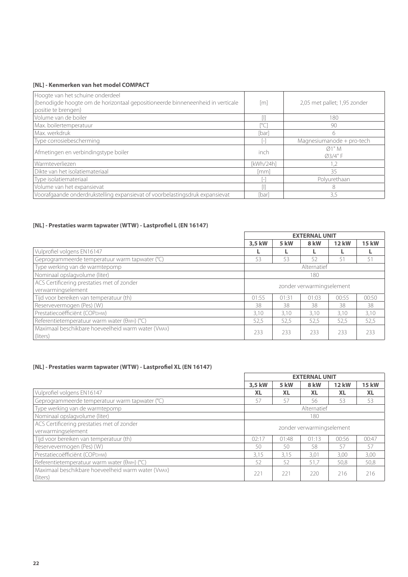## **[NL] - Kenmerken van het model COMPACT**

| Hoogte van het schuine onderdeel<br>(benodigde hoogte om de horizontaal gepositioneerde binneneenheid in verticale<br>positie te brengen) | [m]       | 2,05 met pallet; 1,95 zonder |
|-------------------------------------------------------------------------------------------------------------------------------------------|-----------|------------------------------|
| Volume van de boiler                                                                                                                      |           | 180                          |
| Max. boilertemperatuur                                                                                                                    |           | 90                           |
| Max. werkdruk                                                                                                                             | [bar]     | 6                            |
| Type corrosiebescherming                                                                                                                  |           | Magnesiumanode + pro-tech    |
| Afmetingen en verbindingstype boiler                                                                                                      | inch      | Ø1"M<br>Ø3/4"F               |
| Warmteverliezen                                                                                                                           | [kWh/24h] | 1,2                          |
| Dikte van het isolatiemateriaal                                                                                                           | [mm]      | 35                           |
| Type isolatiemateriaal                                                                                                                    |           | Polyurethaan                 |
| Volume van het expansievat                                                                                                                |           | 8                            |
| Voorafgaande onderdrukstelling expansievat of voorbelastingsdruk expansievat                                                              | [bar]     | 3,5                          |

## **[NL] - Prestaties warm tapwater (WTW) - Lastprofiel L (EN 16147)**

|                                                                | <b>EXTERNAL UNIT</b>      |       |             |              |              |
|----------------------------------------------------------------|---------------------------|-------|-------------|--------------|--------------|
|                                                                | 3.5 kW                    | 5 kW  | 8 kW        | <b>12 kW</b> | <b>15 kW</b> |
| Vulprofiel volgens EN16147                                     |                           |       |             |              |              |
| Geprogrammeerde temperatuur warm tapwater (°C)                 | 53                        | 53    | 52          | 51           | 51           |
| Type werking van de warmtepomp                                 |                           |       | Alternatief |              |              |
| Nominaal opslagvolume (liter)                                  |                           |       | 180         |              |              |
| ACS Certificering prestaties met of zonder                     | zonder verwarmingselement |       |             |              |              |
| verwarmingselement                                             |                           |       |             |              |              |
| Tijd voor bereiken van temperatuur (th)                        | 01:55                     | 01:31 | 01:03       | 00:55        | 00:50        |
| Reservevermogen (Pes) (W)                                      | 38                        | 38    | 38          | 38           | 38           |
| Prestatiecoëfficiënt (COPDHW)                                  | 3,10                      | 3,10  | 3.10        | 3.10         | 3,10         |
| Referentietemperatuur warm water (OwH) (°C)                    | 52,5                      | 52,5  | 52,5        | 52,5         | 52,5         |
| Maximaal beschikbare hoeveelheid warm water (VMAX)<br>(liters) | 233                       | 233   | 233         | 233          | 233          |

## **[NL] - Prestaties warm tapwater (WTW) - Lastprofiel XL (EN 16147)**

|                                                                | <b>EXTERNAL UNIT</b>      |           |             |              |              |
|----------------------------------------------------------------|---------------------------|-----------|-------------|--------------|--------------|
|                                                                | 3.5 kW                    | 5 kW      | 8 kW        | <b>12 kW</b> | <b>15 kW</b> |
| Vulprofiel volgens EN16147                                     | <b>XL</b>                 | <b>XL</b> | <b>XL</b>   | <b>XL</b>    | <b>XL</b>    |
| Geprogrammeerde temperatuur warm tapwater (°C)                 | 57                        | 57        | 56          | 53           | 53           |
| Type werking van de warmtepomp                                 |                           |           | Alternatief |              |              |
| Nominaal opslagvolume (liter)                                  | 180                       |           |             |              |              |
| ACS Certificering prestaties met of zonder                     | zonder verwarmingselement |           |             |              |              |
| verwarmingselement                                             |                           |           |             |              |              |
| Tijd voor bereiken van temperatuur (th)                        | 02:17                     | 01:48     | 01:13       | 00:56        | 00:47        |
| Reservevermogen (Pes) (W)                                      | 50                        | 50        | 58          | 57           | 57           |
| Prestatiecoëfficiënt (COPDHW)                                  | 3,15                      | 3.15      | 3,01        | 3,00         | 3,00         |
| Referentietemperatuur warm water (OwH) (°C)                    | 52                        | 52        | 51,7        | 50,8         | 50,8         |
| Maximaal beschikbare hoeveelheid warm water (VMAX)<br>(liters) | 221                       | 221       | 220         | 216          | 216          |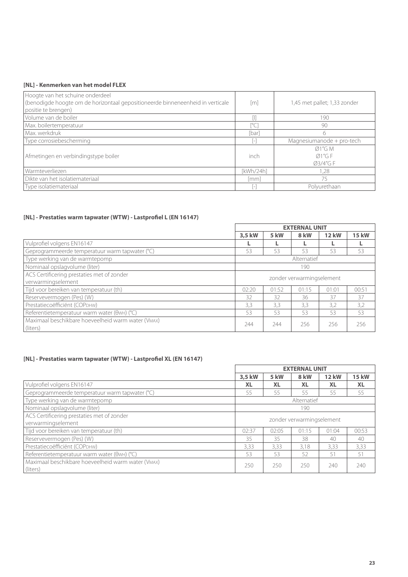#### **[NL] - Kenmerken van het model FLEX**

| Hoogte van het schuine onderdeel<br>(benodigde hoogte om de horizontaal gepositioneerde binneneenheid in verticale<br>positie te brengen) | $\lceil m \rceil$ | 1,45 met pallet; 1,33 zonder   |
|-------------------------------------------------------------------------------------------------------------------------------------------|-------------------|--------------------------------|
| Volume van de boiler                                                                                                                      |                   | 190                            |
| Max. boilertemperatuur                                                                                                                    |                   | 90                             |
| l Max. werkdruk                                                                                                                           | [bar]             | 6                              |
| Type corrosiebescherming                                                                                                                  |                   | Magnesiumanode + pro-tech      |
| Afmetingen en verbindingstype boiler                                                                                                      | inch              | Ø1''G M<br>Ø1''G F<br>Ø3/4"G F |
| Warmteverliezen                                                                                                                           | [kWh/24h]         | 1,28                           |
| Dikte van het isolatiemateriaal                                                                                                           | [mm]              | 75                             |
| Type isolatiemateriaal                                                                                                                    |                   | Polyurethaan                   |

## **[NL] - Prestaties warm tapwater (WTW) - Lastprofiel L (EN 16147)**

|                                                    | <b>EXTERNAL UNIT</b>      |       |             |              |              |
|----------------------------------------------------|---------------------------|-------|-------------|--------------|--------------|
|                                                    | 3.5 kW                    | 5 kW  | 8 kW        | <b>12 kW</b> | <b>15 kW</b> |
| Vulprofiel volgens EN16147                         |                           |       |             |              |              |
| Geprogrammeerde temperatuur warm tapwater (°C)     | 53                        | 53    | 53          | 53           | 53           |
| Type werking van de warmtepomp                     |                           |       | Alternatief |              |              |
| Nominaal opslagvolume (liter)                      | 190                       |       |             |              |              |
| ACS Certificering prestaties met of zonder         | zonder verwarmingselement |       |             |              |              |
| verwarmingselement                                 |                           |       |             |              |              |
| Tijd voor bereiken van temperatuur (th)            | 02:20                     | 01:52 | 01:15       | 01:01        | 00:51        |
| Reservevermogen (Pes) (W)                          | 32                        | 32    | 36          | 37           | 37           |
| Prestatiecoëfficiënt (COPDHW)                      | 3,3                       | 3.3   | 3,3         | 3.2          | 3,2          |
| Referentietemperatuur warm water (OwH) (°C)        | 53                        | 53    | 53          | 53           | 53           |
| Maximaal beschikbare hoeveelheid warm water (VMAX) | 244                       | 244   | 256         | 256          | 256          |
| (liters)                                           |                           |       |             |              |              |

## **[NL] - Prestaties warm tapwater (WTW) - Lastprofiel XL (EN 16147)**

|                                                                | <b>EXTERNAL UNIT</b>      |           |             |              |              |
|----------------------------------------------------------------|---------------------------|-----------|-------------|--------------|--------------|
|                                                                | 3,5 kW                    | 5 kW      | 8 kW        | <b>12 kW</b> | <b>15 kW</b> |
| Vulprofiel volgens EN16147                                     | <b>XL</b>                 | <b>XL</b> | <b>XL</b>   | <b>XL</b>    | <b>XL</b>    |
| Geprogrammeerde temperatuur warm tapwater (°C)                 | 55                        | 55        | 55          | 55           | 55           |
| Type werking van de warmtepomp                                 |                           |           | Alternatief |              |              |
| Nominaal opslagvolume (liter)                                  |                           | 190       |             |              |              |
| ACS Certificering prestaties met of zonder                     | zonder verwarmingselement |           |             |              |              |
| verwarmingselement                                             |                           |           |             |              |              |
| Tijd voor bereiken van temperatuur (th)                        | 02:37                     | 02:05     | 01:15       | 01:04        | 00:53        |
| Reservevermogen (Pes) (W)                                      | 35                        | 35        | 38          | 40           | 40           |
| Prestatiecoëfficiënt (COPDHW)                                  | 3,33                      | 3.33      | 3.18        | 3.33         | 3,33         |
| Referentietemperatuur warm water (OwH) (°C)                    | 53                        | 53        | 52          | 51           | 51           |
| Maximaal beschikbare hoeveelheid warm water (VMAX)<br>(liters) | 250                       | 250       | 250         | 240          | 740          |
|                                                                |                           |           |             |              |              |